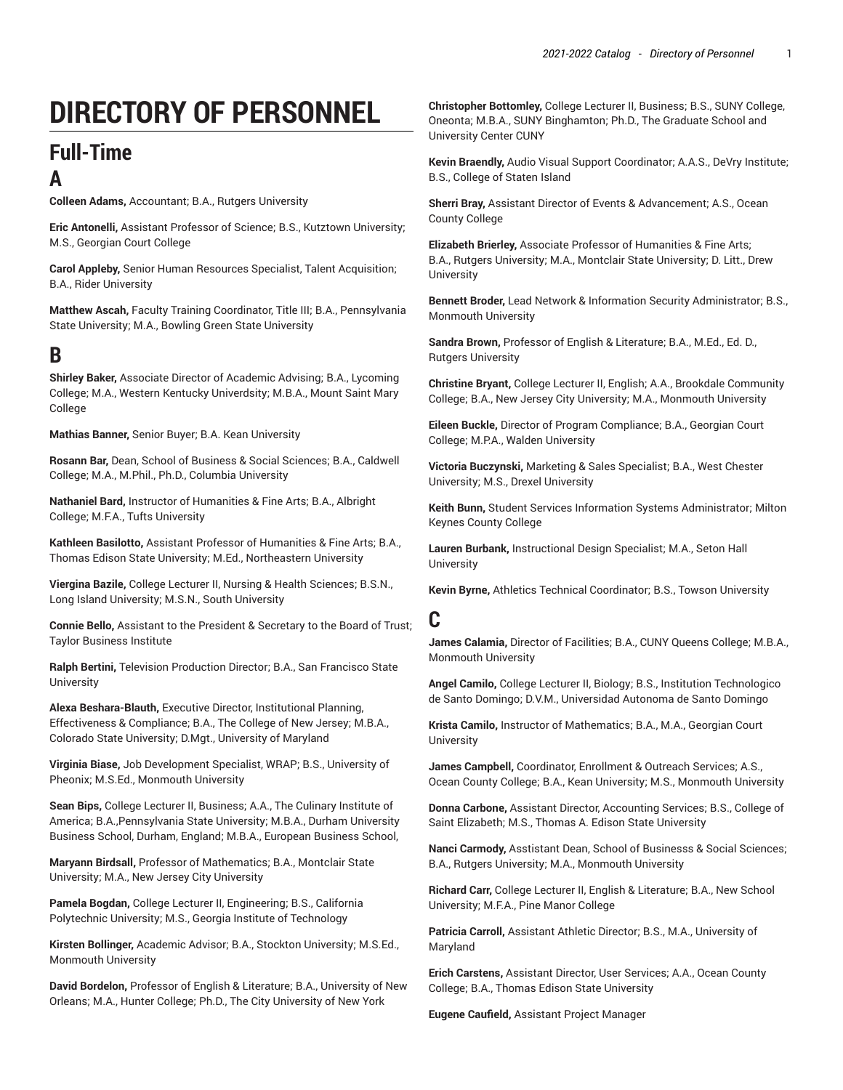# **DIRECTORY OF PERSONNEL**

## **Full-Time A**

**Colleen Adams,** Accountant; B.A., Rutgers University

**Eric Antonelli,** Assistant Professor of Science; B.S., Kutztown University; M.S., Georgian Court College

**Carol Appleby,** Senior Human Resources Specialist, Talent Acquisition; B.A., Rider University

**Matthew Ascah,** Faculty Training Coordinator, Title III; B.A., Pennsylvania State University; M.A., Bowling Green State University

## **B**

**Shirley Baker,** Associate Director of Academic Advising; B.A., Lycoming College; M.A., Western Kentucky Univerdsity; M.B.A., Mount Saint Mary College

**Mathias Banner,** Senior Buyer; B.A. Kean University

**Rosann Bar,** Dean, School of Business & Social Sciences; B.A., Caldwell College; M.A., M.Phil., Ph.D., Columbia University

**Nathaniel Bard,** Instructor of Humanities & Fine Arts; B.A., Albright College; M.F.A., Tufts University

**Kathleen Basilotto,** Assistant Professor of Humanities & Fine Arts; B.A., Thomas Edison State University; M.Ed., Northeastern University

**Viergina Bazile,** College Lecturer II, Nursing & Health Sciences; B.S.N., Long Island University; M.S.N., South University

**Connie Bello,** Assistant to the President & Secretary to the Board of Trust; Taylor Business Institute

**Ralph Bertini,** Television Production Director; B.A., San Francisco State **University** 

**Alexa Beshara-Blauth,** Executive Director, Institutional Planning, Effectiveness & Compliance; B.A., The College of New Jersey; M.B.A., Colorado State University; D.Mgt., University of Maryland

**Virginia Biase,** Job Development Specialist, WRAP; B.S., University of Pheonix; M.S.Ed., Monmouth University

**Sean Bips,** College Lecturer II, Business; A.A., The Culinary Institute of America; B.A.,Pennsylvania State University; M.B.A., Durham University Business School, Durham, England; M.B.A., European Business School,

**Maryann Birdsall,** Professor of Mathematics; B.A., Montclair State University; M.A., New Jersey City University

**Pamela Bogdan,** College Lecturer II, Engineering; B.S., California Polytechnic University; M.S., Georgia Institute of Technology

**Kirsten Bollinger,** Academic Advisor; B.A., Stockton University; M.S.Ed., Monmouth University

**David Bordelon,** Professor of English & Literature; B.A., University of New Orleans; M.A., Hunter College; Ph.D., The City University of New York

**Christopher Bottomley,** College Lecturer II, Business; B.S., SUNY College, Oneonta; M.B.A., SUNY Binghamton; Ph.D., The Graduate School and University Center CUNY

**Kevin Braendly,** Audio Visual Support Coordinator; A.A.S., DeVry Institute; B.S., College of Staten Island

**Sherri Bray,** Assistant Director of Events & Advancement; A.S., Ocean County College

**Elizabeth Brierley,** Associate Professor of Humanities & Fine Arts; B.A., Rutgers University; M.A., Montclair State University; D. Litt., Drew University

**Bennett Broder,** Lead Network & Information Security Administrator; B.S., Monmouth University

**Sandra Brown,** Professor of English & Literature; B.A., M.Ed., Ed. D., Rutgers University

**Christine Bryant,** College Lecturer II, English; A.A., Brookdale Community College; B.A., New Jersey City University; M.A., Monmouth University

**Eileen Buckle,** Director of Program Compliance; B.A., Georgian Court College; M.P.A., Walden University

**Victoria Buczynski,** Marketing & Sales Specialist; B.A., West Chester University; M.S., Drexel University

**Keith Bunn,** Student Services Information Systems Administrator; Milton Keynes County College

**Lauren Burbank,** Instructional Design Specialist; M.A., Seton Hall University

**Kevin Byrne,** Athletics Technical Coordinator; B.S., Towson University

## **C**

**James Calamia,** Director of Facilities; B.A., CUNY Queens College; M.B.A., Monmouth University

**Angel Camilo,** College Lecturer II, Biology; B.S., Institution Technologico de Santo Domingo; D.V.M., Universidad Autonoma de Santo Domingo

**Krista Camilo,** Instructor of Mathematics; B.A., M.A., Georgian Court **University** 

**James Campbell,** Coordinator, Enrollment & Outreach Services; A.S., Ocean County College; B.A., Kean University; M.S., Monmouth University

**Donna Carbone,** Assistant Director, Accounting Services; B.S., College of Saint Elizabeth; M.S., Thomas A. Edison State University

**Nanci Carmody,** Asstistant Dean, School of Businesss & Social Sciences; B.A., Rutgers University; M.A., Monmouth University

**Richard Carr,** College Lecturer II, English & Literature; B.A., New School University; M.F.A., Pine Manor College

**Patricia Carroll,** Assistant Athletic Director; B.S., M.A., University of Maryland

**Erich Carstens,** Assistant Director, User Services; A.A., Ocean County College; B.A., Thomas Edison State University

**Eugene Caufield,** Assistant Project Manager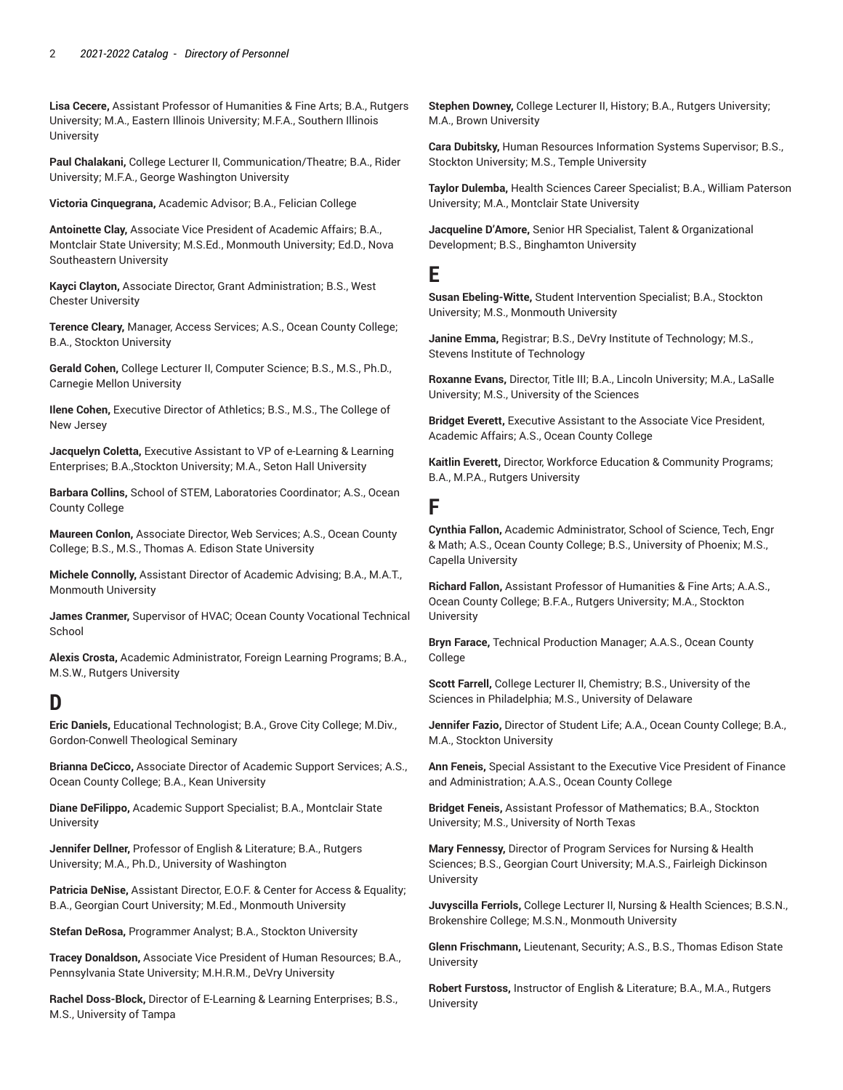**Lisa Cecere,** Assistant Professor of Humanities & Fine Arts; B.A., Rutgers University; M.A., Eastern Illinois University; M.F.A., Southern Illinois **University** 

**Paul Chalakani,** College Lecturer II, Communication/Theatre; B.A., Rider University; M.F.A., George Washington University

**Victoria Cinquegrana,** Academic Advisor; B.A., Felician College

**Antoinette Clay,** Associate Vice President of Academic Affairs; B.A., Montclair State University; M.S.Ed., Monmouth University; Ed.D., Nova Southeastern University

**Kayci Clayton,** Associate Director, Grant Administration; B.S., West Chester University

**Terence Cleary,** Manager, Access Services; A.S., Ocean County College; B.A., Stockton University

**Gerald Cohen,** College Lecturer II, Computer Science; B.S., M.S., Ph.D., Carnegie Mellon University

**Ilene Cohen,** Executive Director of Athletics; B.S., M.S., The College of New Jersey

**Jacquelyn Coletta,** Executive Assistant to VP of e-Learning & Learning Enterprises; B.A.,Stockton University; M.A., Seton Hall University

**Barbara Collins,** School of STEM, Laboratories Coordinator; A.S., Ocean County College

**Maureen Conlon,** Associate Director, Web Services; A.S., Ocean County College; B.S., M.S., Thomas A. Edison State University

**Michele Connolly,** Assistant Director of Academic Advising; B.A., M.A.T., Monmouth University

**James Cranmer,** Supervisor of HVAC; Ocean County Vocational Technical School

**Alexis Crosta,** Academic Administrator, Foreign Learning Programs; B.A., M.S.W., Rutgers University

## **D**

**Eric Daniels,** Educational Technologist; B.A., Grove City College; M.Div., Gordon-Conwell Theological Seminary

**Brianna DeCicco,** Associate Director of Academic Support Services; A.S., Ocean County College; B.A., Kean University

**Diane DeFilippo,** Academic Support Specialist; B.A., Montclair State **University** 

**Jennifer Dellner,** Professor of English & Literature; B.A., Rutgers University; M.A., Ph.D., University of Washington

**Patricia DeNise,** Assistant Director, E.O.F. & Center for Access & Equality; B.A., Georgian Court University; M.Ed., Monmouth University

**Stefan DeRosa,** Programmer Analyst; B.A., Stockton University

**Tracey Donaldson,** Associate Vice President of Human Resources; B.A., Pennsylvania State University; M.H.R.M., DeVry University

**Rachel Doss-Block,** Director of E-Learning & Learning Enterprises; B.S., M.S., University of Tampa

**Stephen Downey,** College Lecturer II, History; B.A., Rutgers University; M.A., Brown University

**Cara Dubitsky,** Human Resources Information Systems Supervisor; B.S., Stockton University; M.S., Temple University

**Taylor Dulemba,** Health Sciences Career Specialist; B.A., William Paterson University; M.A., Montclair State University

**Jacqueline D'Amore,** Senior HR Specialist, Talent & Organizational Development; B.S., Binghamton University

## **E**

**Susan Ebeling-Witte,** Student Intervention Specialist; B.A., Stockton University; M.S., Monmouth University

**Janine Emma,** Registrar; B.S., DeVry Institute of Technology; M.S., Stevens Institute of Technology

**Roxanne Evans,** Director, Title III; B.A., Lincoln University; M.A., LaSalle University; M.S., University of the Sciences

**Bridget Everett,** Executive Assistant to the Associate Vice President, Academic Affairs; A.S., Ocean County College

**Kaitlin Everett,** Director, Workforce Education & Community Programs; B.A., M.P.A., Rutgers University

### **F**

**Cynthia Fallon,** Academic Administrator, School of Science, Tech, Engr & Math; A.S., Ocean County College; B.S., University of Phoenix; M.S., Capella University

**Richard Fallon,** Assistant Professor of Humanities & Fine Arts; A.A.S., Ocean County College; B.F.A., Rutgers University; M.A., Stockton **University** 

**Bryn Farace,** Technical Production Manager; A.A.S., Ocean County College

**Scott Farrell,** College Lecturer II, Chemistry; B.S., University of the Sciences in Philadelphia; M.S., University of Delaware

**Jennifer Fazio,** Director of Student Life; A.A., Ocean County College; B.A., M.A., Stockton University

**Ann Feneis,** Special Assistant to the Executive Vice President of Finance and Administration; A.A.S., Ocean County College

**Bridget Feneis,** Assistant Professor of Mathematics; B.A., Stockton University; M.S., University of North Texas

**Mary Fennessy,** Director of Program Services for Nursing & Health Sciences; B.S., Georgian Court University; M.A.S., Fairleigh Dickinson University

**Juvyscilla Ferriols,** College Lecturer II, Nursing & Health Sciences; B.S.N., Brokenshire College; M.S.N., Monmouth University

**Glenn Frischmann,** Lieutenant, Security; A.S., B.S., Thomas Edison State University

**Robert Furstoss,** Instructor of English & Literature; B.A., M.A., Rutgers **University**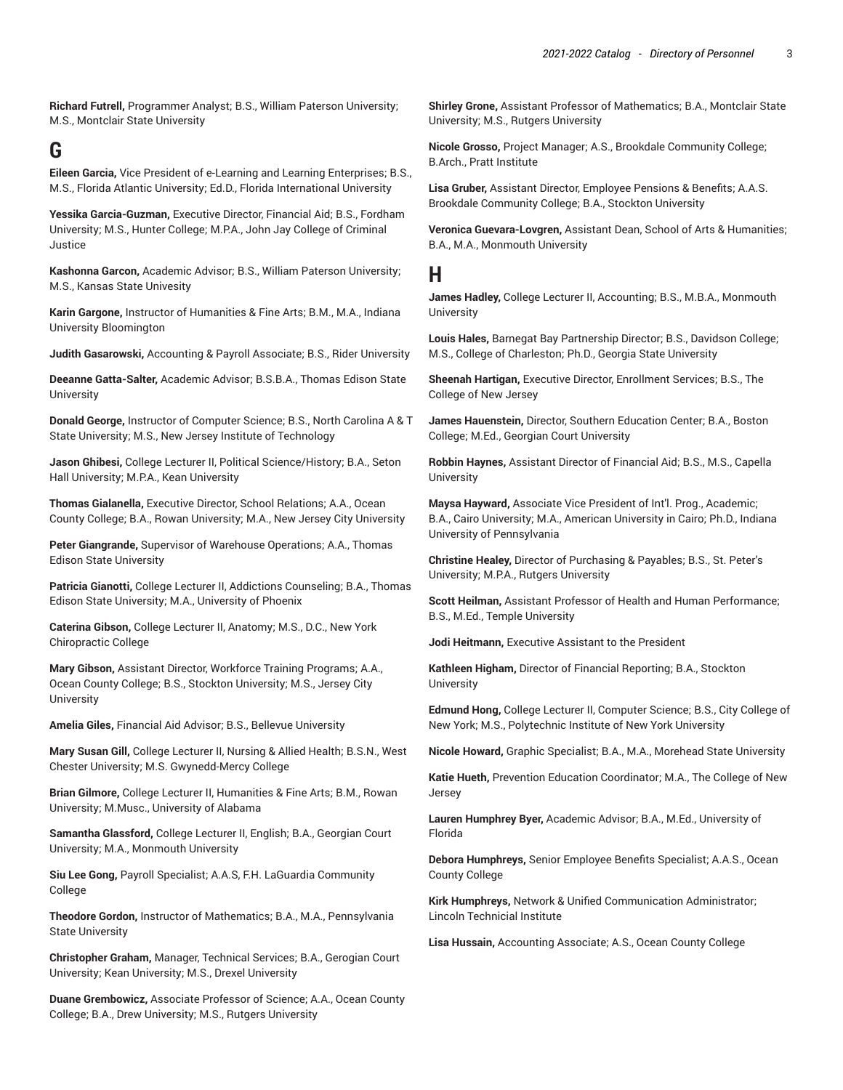**Richard Futrell,** Programmer Analyst; B.S., William Paterson University; M.S., Montclair State University

## **G**

**Eileen Garcia,** Vice President of e-Learning and Learning Enterprises; B.S., M.S., Florida Atlantic University; Ed.D., Florida International University

**Yessika Garcia-Guzman,** Executive Director, Financial Aid; B.S., Fordham University; M.S., Hunter College; M.P.A., John Jay College of Criminal Justice

**Kashonna Garcon,** Academic Advisor; B.S., William Paterson University; M.S., Kansas State Univesity

**Karin Gargone,** Instructor of Humanities & Fine Arts; B.M., M.A., Indiana University Bloomington

**Judith Gasarowski,** Accounting & Payroll Associate; B.S., Rider University

**Deeanne Gatta-Salter,** Academic Advisor; B.S.B.A., Thomas Edison State University

**Donald George,** Instructor of Computer Science; B.S., North Carolina A & T State University; M.S., New Jersey Institute of Technology

**Jason Ghibesi,** College Lecturer II, Political Science/History; B.A., Seton Hall University; M.P.A., Kean University

**Thomas Gialanella,** Executive Director, School Relations; A.A., Ocean County College; B.A., Rowan University; M.A., New Jersey City University

**Peter Giangrande,** Supervisor of Warehouse Operations; A.A., Thomas Edison State University

**Patricia Gianotti,** College Lecturer II, Addictions Counseling; B.A., Thomas Edison State University; M.A., University of Phoenix

**Caterina Gibson,** College Lecturer II, Anatomy; M.S., D.C., New York Chiropractic College

**Mary Gibson,** Assistant Director, Workforce Training Programs; A.A., Ocean County College; B.S., Stockton University; M.S., Jersey City **University** 

**Amelia Giles,** Financial Aid Advisor; B.S., Bellevue University

**Mary Susan Gill,** College Lecturer II, Nursing & Allied Health; B.S.N., West Chester University; M.S. Gwynedd-Mercy College

**Brian Gilmore,** College Lecturer II, Humanities & Fine Arts; B.M., Rowan University; M.Musc., University of Alabama

**Samantha Glassford,** College Lecturer II, English; B.A., Georgian Court University; M.A., Monmouth University

**Siu Lee Gong,** Payroll Specialist; A.A.S, F.H. LaGuardia Community College

**Theodore Gordon,** Instructor of Mathematics; B.A., M.A., Pennsylvania State University

**Christopher Graham,** Manager, Technical Services; B.A., Gerogian Court University; Kean University; M.S., Drexel University

**Duane Grembowicz,** Associate Professor of Science; A.A., Ocean County College; B.A., Drew University; M.S., Rutgers University

**Shirley Grone,** Assistant Professor of Mathematics; B.A., Montclair State University; M.S., Rutgers University

**Nicole Grosso,** Project Manager; A.S., Brookdale Community College; B.Arch., Pratt Institute

**Lisa Gruber,** Assistant Director, Employee Pensions & Benefits; A.A.S. Brookdale Community College; B.A., Stockton University

**Veronica Guevara-Lovgren,** Assistant Dean, School of Arts & Humanities; B.A., M.A., Monmouth University

#### **H**

**James Hadley,** College Lecturer II, Accounting; B.S., M.B.A., Monmouth University

**Louis Hales,** Barnegat Bay Partnership Director; B.S., Davidson College; M.S., College of Charleston; Ph.D., Georgia State University

**Sheenah Hartigan,** Executive Director, Enrollment Services; B.S., The College of New Jersey

**James Hauenstein,** Director, Southern Education Center; B.A., Boston College; M.Ed., Georgian Court University

**Robbin Haynes,** Assistant Director of Financial Aid; B.S., M.S., Capella University

**Maysa Hayward,** Associate Vice President of Int'l. Prog., Academic; B.A., Cairo University; M.A., American University in Cairo; Ph.D., Indiana University of Pennsylvania

**Christine Healey,** Director of Purchasing & Payables; B.S., St. Peter's University; M.P.A., Rutgers University

**Scott Heilman,** Assistant Professor of Health and Human Performance; B.S., M.Ed., Temple University

**Jodi Heitmann,** Executive Assistant to the President

**Kathleen Higham,** Director of Financial Reporting; B.A., Stockton University

**Edmund Hong,** College Lecturer II, Computer Science; B.S., City College of New York; M.S., Polytechnic Institute of New York University

**Nicole Howard,** Graphic Specialist; B.A., M.A., Morehead State University

**Katie Hueth,** Prevention Education Coordinator; M.A., The College of New Jersey

**Lauren Humphrey Byer,** Academic Advisor; B.A., M.Ed., University of Florida

**Debora Humphreys,** Senior Employee Benefits Specialist; A.A.S., Ocean County College

**Kirk Humphreys,** Network & Unified Communication Administrator; Lincoln Technicial Institute

**Lisa Hussain,** Accounting Associate; A.S., Ocean County College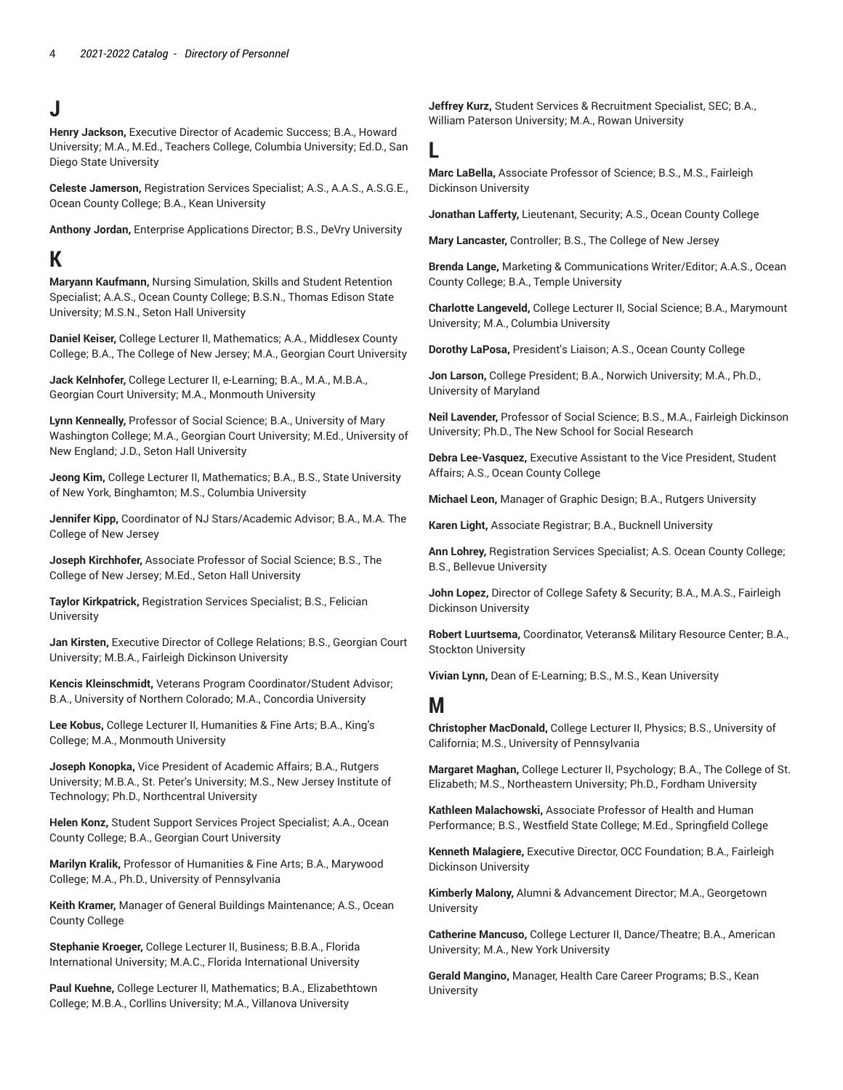## **J**

**Henry Jackson,** Executive Director of Academic Success; B.A., Howard University; M.A., M.Ed., Teachers College, Columbia University; Ed.D., San Diego State University

**Celeste Jamerson,** Registration Services Specialist; A.S., A.A.S., A.S.G.E., Ocean County College; B.A., Kean University

**Anthony Jordan,** Enterprise Applications Director; B.S., DeVry University

## **K**

**Maryann Kaufmann,** Nursing Simulation, Skills and Student Retention Specialist; A.A.S., Ocean County College; B.S.N., Thomas Edison State University; M.S.N., Seton Hall University

**Daniel Keiser,** College Lecturer II, Mathematics; A.A., Middlesex County College; B.A., The College of New Jersey; M.A., Georgian Court University

**Jack Kelnhofer,** College Lecturer II, e-Learning; B.A., M.A., M.B.A., Georgian Court University; M.A., Monmouth University

**Lynn Kenneally,** Professor of Social Science; B.A., University of Mary Washington College; M.A., Georgian Court University; M.Ed., University of New England; J.D., Seton Hall University

**Jeong Kim,** College Lecturer II, Mathematics; B.A., B.S., State University of New York, Binghamton; M.S., Columbia University

**Jennifer Kipp,** Coordinator of NJ Stars/Academic Advisor; B.A., M.A. The College of New Jersey

**Joseph Kirchhofer,** Associate Professor of Social Science; B.S., The College of New Jersey; M.Ed., Seton Hall University

**Taylor Kirkpatrick,** Registration Services Specialist; B.S., Felician **University** 

**Jan Kirsten,** Executive Director of College Relations; B.S., Georgian Court University; M.B.A., Fairleigh Dickinson University

**Kencis Kleinschmidt,** Veterans Program Coordinator/Student Advisor; B.A., University of Northern Colorado; M.A., Concordia University

**Lee Kobus,** College Lecturer II, Humanities & Fine Arts; B.A., King's College; M.A., Monmouth University

**Joseph Konopka,** Vice President of Academic Affairs; B.A., Rutgers University; M.B.A., St. Peter's University; M.S., New Jersey Institute of Technology; Ph.D., Northcentral University

**Helen Konz,** Student Support Services Project Specialist; A.A., Ocean County College; B.A., Georgian Court University

**Marilyn Kralik,** Professor of Humanities & Fine Arts; B.A., Marywood College; M.A., Ph.D., University of Pennsylvania

**Keith Kramer,** Manager of General Buildings Maintenance; A.S., Ocean County College

**Stephanie Kroeger,** College Lecturer II, Business; B.B.A., Florida International University; M.A.C., Florida International University

**Paul Kuehne,** College Lecturer II, Mathematics; B.A., Elizabethtown College; M.B.A., Corllins University; M.A., Villanova University

**Jeffrey Kurz,** Student Services & Recruitment Specialist, SEC; B.A., William Paterson University; M.A., Rowan University

#### **L**

**Marc LaBella,** Associate Professor of Science; B.S., M.S., Fairleigh Dickinson University

**Jonathan Lafferty,** Lieutenant, Security; A.S., Ocean County College

**Mary Lancaster,** Controller; B.S., The College of New Jersey

**Brenda Lange,** Marketing & Communications Writer/Editor; A.A.S., Ocean County College; B.A., Temple University

**Charlotte Langeveld,** College Lecturer II, Social Science; B.A., Marymount University; M.A., Columbia University

**Dorothy LaPosa,** President's Liaison; A.S., Ocean County College

**Jon Larson,** College President; B.A., Norwich University; M.A., Ph.D., University of Maryland

**Neil Lavender,** Professor of Social Science; B.S., M.A., Fairleigh Dickinson University; Ph.D., The New School for Social Research

**Debra Lee-Vasquez,** Executive Assistant to the Vice President, Student Affairs; A.S., Ocean County College

**Michael Leon,** Manager of Graphic Design; B.A., Rutgers University

**Karen Light,** Associate Registrar; B.A., Bucknell University

**Ann Lohrey,** Registration Services Specialist; A.S. Ocean County College; B.S., Bellevue University

**John Lopez,** Director of College Safety & Security; B.A., M.A.S., Fairleigh Dickinson University

**Robert Luurtsema,** Coordinator, Veterans& Military Resource Center; B.A., Stockton University

**Vivian Lynn,** Dean of E-Learning; B.S., M.S., Kean University

### **M**

**Christopher MacDonald,** College Lecturer II, Physics; B.S., University of California; M.S., University of Pennsylvania

**Margaret Maghan,** College Lecturer II, Psychology; B.A., The College of St. Elizabeth; M.S., Northeastern University; Ph.D., Fordham University

**Kathleen Malachowski,** Associate Professor of Health and Human Performance; B.S., Westfield State College; M.Ed., Springfield College

**Kenneth Malagiere,** Executive Director, OCC Foundation; B.A., Fairleigh Dickinson University

**Kimberly Malony,** Alumni & Advancement Director; M.A., Georgetown **University** 

**Catherine Mancuso,** College Lecturer II, Dance/Theatre; B.A., American University; M.A., New York University

**Gerald Mangino,** Manager, Health Care Career Programs; B.S., Kean University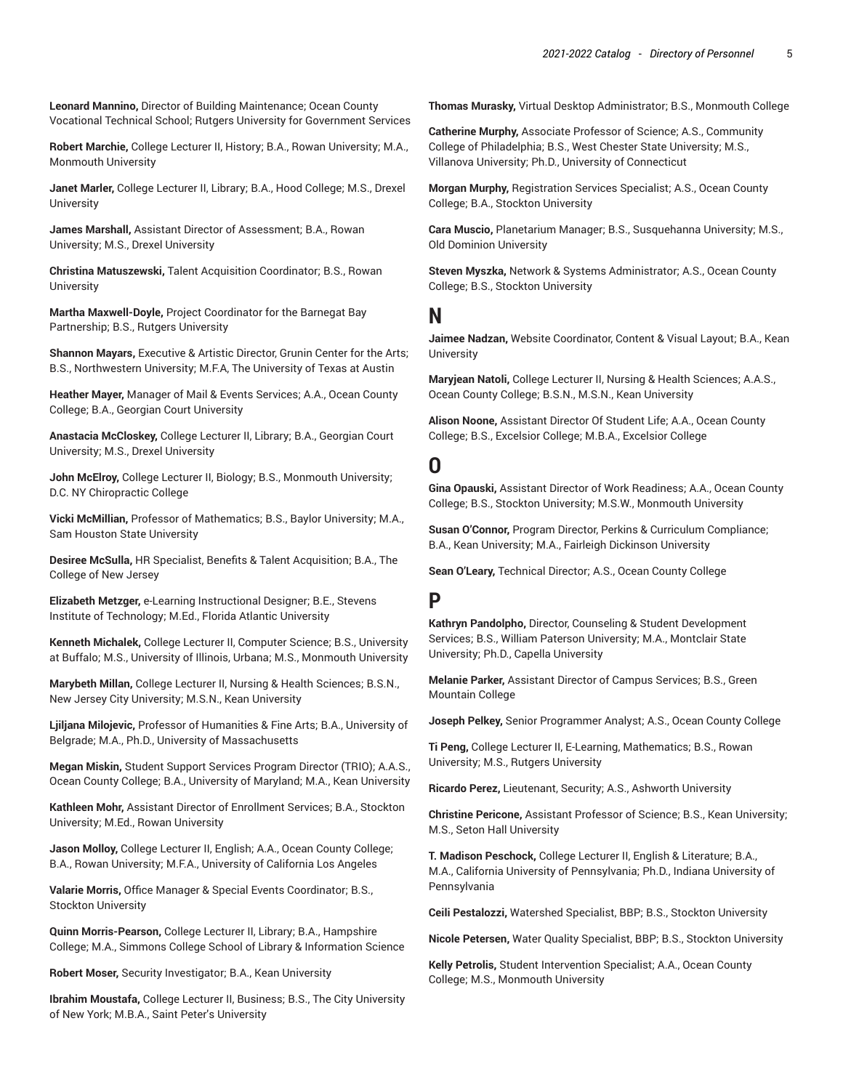**Leonard Mannino,** Director of Building Maintenance; Ocean County Vocational Technical School; Rutgers University for Government Services

**Robert Marchie,** College Lecturer II, History; B.A., Rowan University; M.A., Monmouth University

**Janet Marler,** College Lecturer II, Library; B.A., Hood College; M.S., Drexel **University** 

**James Marshall,** Assistant Director of Assessment; B.A., Rowan University; M.S., Drexel University

**Christina Matuszewski,** Talent Acquisition Coordinator; B.S., Rowan **University** 

**Martha Maxwell-Doyle,** Project Coordinator for the Barnegat Bay Partnership; B.S., Rutgers University

**Shannon Mayars,** Executive & Artistic Director, Grunin Center for the Arts; B.S., Northwestern University; M.F.A, The University of Texas at Austin

**Heather Mayer,** Manager of Mail & Events Services; A.A., Ocean County College; B.A., Georgian Court University

**Anastacia McCloskey,** College Lecturer II, Library; B.A., Georgian Court University; M.S., Drexel University

**John McElroy,** College Lecturer II, Biology; B.S., Monmouth University; D.C. NY Chiropractic College

**Vicki McMillian,** Professor of Mathematics; B.S., Baylor University; M.A., Sam Houston State University

**Desiree McSulla,** HR Specialist, Benefits & Talent Acquisition; B.A., The College of New Jersey

**Elizabeth Metzger,** e-Learning Instructional Designer; B.E., Stevens Institute of Technology; M.Ed., Florida Atlantic University

**Kenneth Michalek,** College Lecturer II, Computer Science; B.S., University at Buffalo; M.S., University of Illinois, Urbana; M.S., Monmouth University

**Marybeth Millan,** College Lecturer II, Nursing & Health Sciences; B.S.N., New Jersey City University; M.S.N., Kean University

**Ljiljana Milojevic,** Professor of Humanities & Fine Arts; B.A., University of Belgrade; M.A., Ph.D., University of Massachusetts

**Megan Miskin,** Student Support Services Program Director (TRIO); A.A.S., Ocean County College; B.A., University of Maryland; M.A., Kean University

**Kathleen Mohr,** Assistant Director of Enrollment Services; B.A., Stockton University; M.Ed., Rowan University

**Jason Molloy,** College Lecturer II, English; A.A., Ocean County College; B.A., Rowan University; M.F.A., University of California Los Angeles

**Valarie Morris,** Office Manager & Special Events Coordinator; B.S., Stockton University

**Quinn Morris-Pearson,** College Lecturer II, Library; B.A., Hampshire College; M.A., Simmons College School of Library & Information Science

**Robert Moser,** Security Investigator; B.A., Kean University

**Ibrahim Moustafa,** College Lecturer II, Business; B.S., The City University of New York; M.B.A., Saint Peter's University

**Thomas Murasky,** Virtual Desktop Administrator; B.S., Monmouth College

**Catherine Murphy,** Associate Professor of Science; A.S., Community College of Philadelphia; B.S., West Chester State University; M.S., Villanova University; Ph.D., University of Connecticut

**Morgan Murphy,** Registration Services Specialist; A.S., Ocean County College; B.A., Stockton University

**Cara Muscio,** Planetarium Manager; B.S., Susquehanna University; M.S., Old Dominion University

**Steven Myszka,** Network & Systems Administrator; A.S., Ocean County College; B.S., Stockton University

#### **N**

**Jaimee Nadzan,** Website Coordinator, Content & Visual Layout; B.A., Kean University

**Maryjean Natoli,** College Lecturer II, Nursing & Health Sciences; A.A.S., Ocean County College; B.S.N., M.S.N., Kean University

**Alison Noone,** Assistant Director Of Student Life; A.A., Ocean County College; B.S., Excelsior College; M.B.A., Excelsior College

## **O**

**Gina Opauski,** Assistant Director of Work Readiness; A.A., Ocean County College; B.S., Stockton University; M.S.W., Monmouth University

**Susan O'Connor,** Program Director, Perkins & Curriculum Compliance; B.A., Kean University; M.A., Fairleigh Dickinson University

**Sean O'Leary,** Technical Director; A.S., Ocean County College

### **P**

**Kathryn Pandolpho,** Director, Counseling & Student Development Services; B.S., William Paterson University; M.A., Montclair State University; Ph.D., Capella University

**Melanie Parker,** Assistant Director of Campus Services; B.S., Green Mountain College

**Joseph Pelkey,** Senior Programmer Analyst; A.S., Ocean County College

**Ti Peng,** College Lecturer II, E-Learning, Mathematics; B.S., Rowan University; M.S., Rutgers University

**Ricardo Perez,** Lieutenant, Security; A.S., Ashworth University

**Christine Pericone,** Assistant Professor of Science; B.S., Kean University; M.S., Seton Hall University

**T. Madison Peschock,** College Lecturer II, English & Literature; B.A., M.A., California University of Pennsylvania; Ph.D., Indiana University of Pennsylvania

**Ceili Pestalozzi,** Watershed Specialist, BBP; B.S., Stockton University

**Nicole Petersen,** Water Quality Specialist, BBP; B.S., Stockton University

**Kelly Petrolis,** Student Intervention Specialist; A.A., Ocean County College; M.S., Monmouth University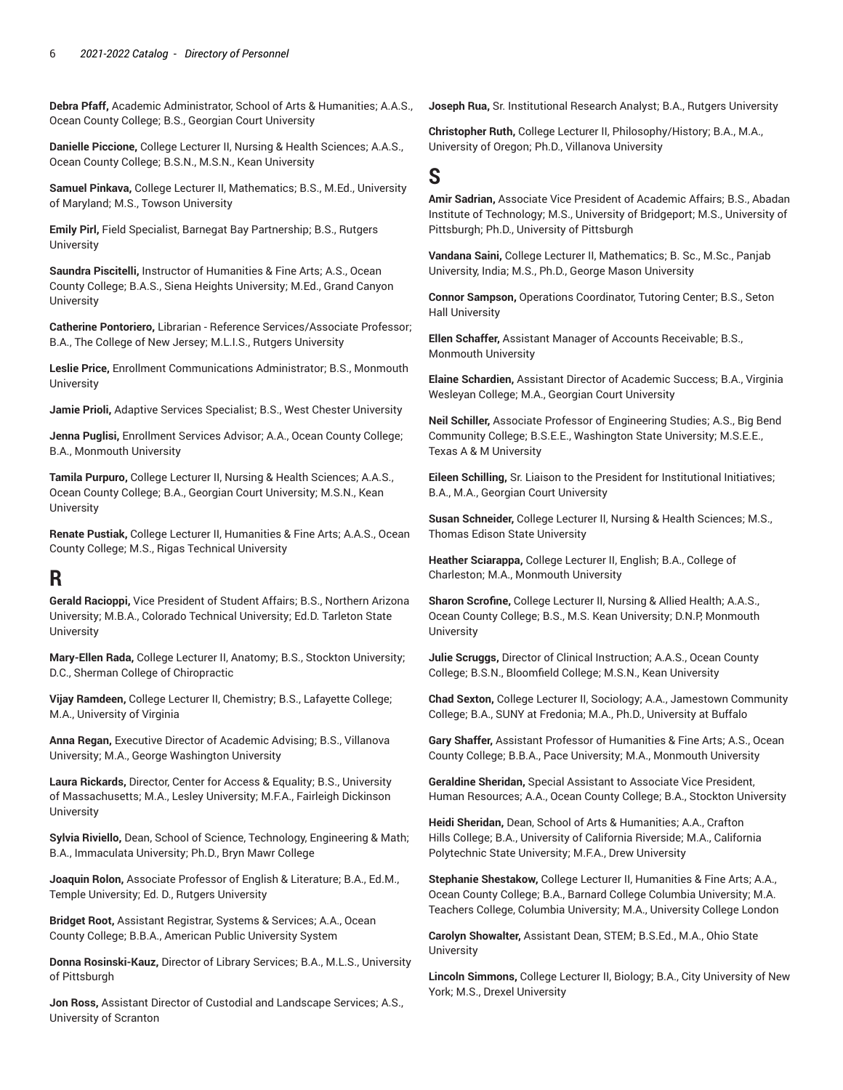**Debra Pfaff,** Academic Administrator, School of Arts & Humanities; A.A.S., Ocean County College; B.S., Georgian Court University

**Danielle Piccione,** College Lecturer II, Nursing & Health Sciences; A.A.S., Ocean County College; B.S.N., M.S.N., Kean University

**Samuel Pinkava,** College Lecturer II, Mathematics; B.S., M.Ed., University of Maryland; M.S., Towson University

**Emily Pirl,** Field Specialist, Barnegat Bay Partnership; B.S., Rutgers **University** 

**Saundra Piscitelli,** Instructor of Humanities & Fine Arts; A.S., Ocean County College; B.A.S., Siena Heights University; M.Ed., Grand Canyon **University** 

**Catherine Pontoriero,** Librarian - Reference Services/Associate Professor; B.A., The College of New Jersey; M.L.I.S., Rutgers University

**Leslie Price,** Enrollment Communications Administrator; B.S., Monmouth **University** 

**Jamie Prioli,** Adaptive Services Specialist; B.S., West Chester University

**Jenna Puglisi,** Enrollment Services Advisor; A.A., Ocean County College; B.A., Monmouth University

**Tamila Purpuro,** College Lecturer II, Nursing & Health Sciences; A.A.S., Ocean County College; B.A., Georgian Court University; M.S.N., Kean **University** 

**Renate Pustiak,** College Lecturer II, Humanities & Fine Arts; A.A.S., Ocean County College; M.S., Rigas Technical University

## **R**

**Gerald Racioppi,** Vice President of Student Affairs; B.S., Northern Arizona University; M.B.A., Colorado Technical University; Ed.D. Tarleton State **University** 

**Mary-Ellen Rada,** College Lecturer II, Anatomy; B.S., Stockton University; D.C., Sherman College of Chiropractic

**Vijay Ramdeen,** College Lecturer II, Chemistry; B.S., Lafayette College; M.A., University of Virginia

**Anna Regan,** Executive Director of Academic Advising; B.S., Villanova University; M.A., George Washington University

**Laura Rickards,** Director, Center for Access & Equality; B.S., University of Massachusetts; M.A., Lesley University; M.F.A., Fairleigh Dickinson University

**Sylvia Riviello,** Dean, School of Science, Technology, Engineering & Math; B.A., Immaculata University; Ph.D., Bryn Mawr College

**Joaquin Rolon,** Associate Professor of English & Literature; B.A., Ed.M., Temple University; Ed. D., Rutgers University

**Bridget Root,** Assistant Registrar, Systems & Services; A.A., Ocean County College; B.B.A., American Public University System

**Donna Rosinski-Kauz,** Director of Library Services; B.A., M.L.S., University of Pittsburgh

**Jon Ross,** Assistant Director of Custodial and Landscape Services; A.S., University of Scranton

**Joseph Rua,** Sr. Institutional Research Analyst; B.A., Rutgers University

**Christopher Ruth,** College Lecturer II, Philosophy/History; B.A., M.A., University of Oregon; Ph.D., Villanova University

## **S**

**Amir Sadrian,** Associate Vice President of Academic Affairs; B.S., Abadan Institute of Technology; M.S., University of Bridgeport; M.S., University of Pittsburgh; Ph.D., University of Pittsburgh

**Vandana Saini,** College Lecturer II, Mathematics; B. Sc., M.Sc., Panjab University, India; M.S., Ph.D., George Mason University

**Connor Sampson,** Operations Coordinator, Tutoring Center; B.S., Seton Hall University

**Ellen Schaffer,** Assistant Manager of Accounts Receivable; B.S., Monmouth University

**Elaine Schardien,** Assistant Director of Academic Success; B.A., Virginia Wesleyan College; M.A., Georgian Court University

**Neil Schiller,** Associate Professor of Engineering Studies; A.S., Big Bend Community College; B.S.E.E., Washington State University; M.S.E.E., Texas A & M University

**Eileen Schilling,** Sr. Liaison to the President for Institutional Initiatives; B.A., M.A., Georgian Court University

**Susan Schneider,** College Lecturer II, Nursing & Health Sciences; M.S., Thomas Edison State University

**Heather Sciarappa,** College Lecturer II, English; B.A., College of Charleston; M.A., Monmouth University

**Sharon Scrofine,** College Lecturer II, Nursing & Allied Health; A.A.S., Ocean County College; B.S., M.S. Kean University; D.N.P, Monmouth **University** 

**Julie Scruggs,** Director of Clinical Instruction; A.A.S., Ocean County College; B.S.N., Bloomfield College; M.S.N., Kean University

**Chad Sexton,** College Lecturer II, Sociology; A.A., Jamestown Community College; B.A., SUNY at Fredonia; M.A., Ph.D., University at Buffalo

**Gary Shaffer,** Assistant Professor of Humanities & Fine Arts; A.S., Ocean County College; B.B.A., Pace University; M.A., Monmouth University

**Geraldine Sheridan,** Special Assistant to Associate Vice President, Human Resources; A.A., Ocean County College; B.A., Stockton University

**Heidi Sheridan,** Dean, School of Arts & Humanities; A.A., Crafton Hills College; B.A., University of California Riverside; M.A., California Polytechnic State University; M.F.A., Drew University

**Stephanie Shestakow,** College Lecturer II, Humanities & Fine Arts; A.A., Ocean County College; B.A., Barnard College Columbia University; M.A. Teachers College, Columbia University; M.A., University College London

**Carolyn Showalter,** Assistant Dean, STEM; B.S.Ed., M.A., Ohio State **University** 

**Lincoln Simmons,** College Lecturer II, Biology; B.A., City University of New York; M.S., Drexel University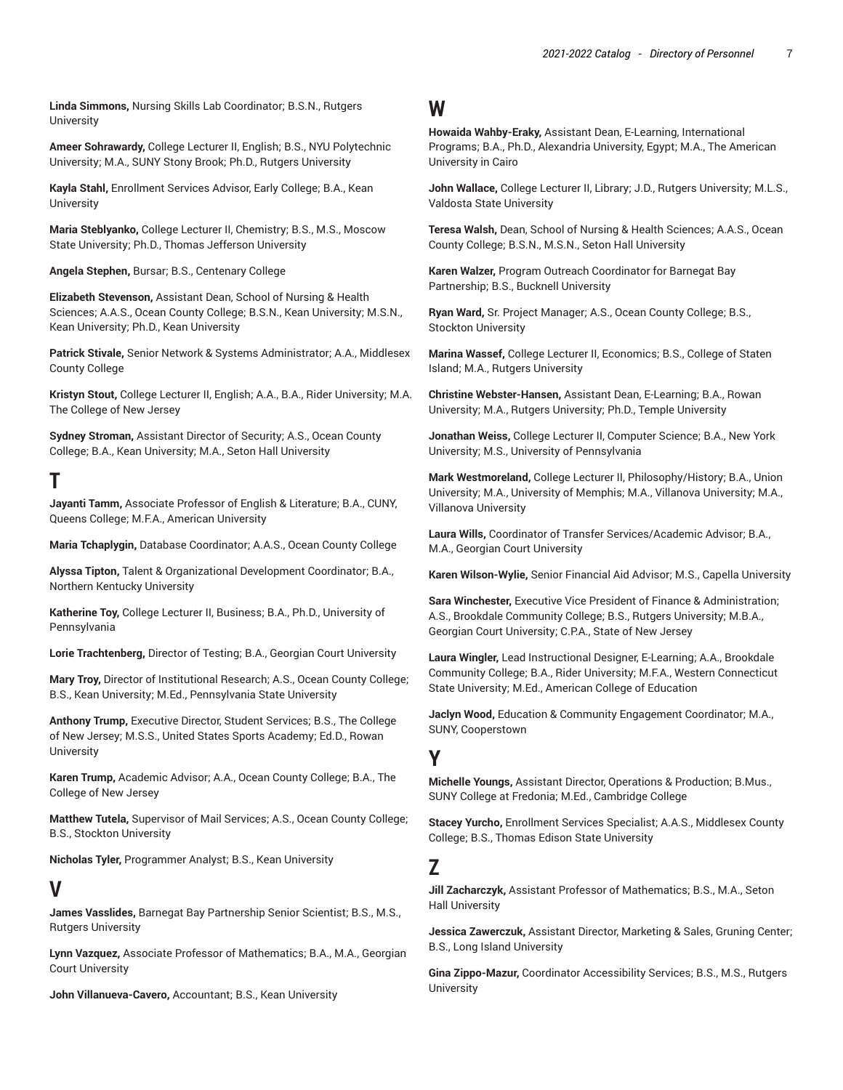**Linda Simmons,** Nursing Skills Lab Coordinator; B.S.N., Rutgers **University** 

**Ameer Sohrawardy,** College Lecturer II, English; B.S., NYU Polytechnic University; M.A., SUNY Stony Brook; Ph.D., Rutgers University

**Kayla Stahl,** Enrollment Services Advisor, Early College; B.A., Kean **University** 

**Maria Steblyanko,** College Lecturer II, Chemistry; B.S., M.S., Moscow State University; Ph.D., Thomas Jefferson University

**Angela Stephen,** Bursar; B.S., Centenary College

**Elizabeth Stevenson,** Assistant Dean, School of Nursing & Health Sciences; A.A.S., Ocean County College; B.S.N., Kean University; M.S.N., Kean University; Ph.D., Kean University

**Patrick Stivale,** Senior Network & Systems Administrator; A.A., Middlesex County College

**Kristyn Stout,** College Lecturer II, English; A.A., B.A., Rider University; M.A. The College of New Jersey

**Sydney Stroman,** Assistant Director of Security; A.S., Ocean County College; B.A., Kean University; M.A., Seton Hall University

## **T**

**Jayanti Tamm,** Associate Professor of English & Literature; B.A., CUNY, Queens College; M.F.A., American University

**Maria Tchaplygin,** Database Coordinator; A.A.S., Ocean County College

**Alyssa Tipton,** Talent & Organizational Development Coordinator; B.A., Northern Kentucky University

**Katherine Toy,** College Lecturer II, Business; B.A., Ph.D., University of Pennsylvania

**Lorie Trachtenberg,** Director of Testing; B.A., Georgian Court University

**Mary Troy,** Director of Institutional Research; A.S., Ocean County College; B.S., Kean University; M.Ed., Pennsylvania State University

**Anthony Trump,** Executive Director, Student Services; B.S., The College of New Jersey; M.S.S., United States Sports Academy; Ed.D., Rowan **University** 

**Karen Trump,** Academic Advisor; A.A., Ocean County College; B.A., The College of New Jersey

**Matthew Tutela,** Supervisor of Mail Services; A.S., Ocean County College; B.S., Stockton University

**Nicholas Tyler,** Programmer Analyst; B.S., Kean University

## **V**

**James Vasslides,** Barnegat Bay Partnership Senior Scientist; B.S., M.S., Rutgers University

**Lynn Vazquez,** Associate Professor of Mathematics; B.A., M.A., Georgian Court University

**John Villanueva-Cavero,** Accountant; B.S., Kean University

## **W**

**Howaida Wahby-Eraky,** Assistant Dean, E-Learning, International Programs; B.A., Ph.D., Alexandria University, Egypt; M.A., The American University in Cairo

**John Wallace,** College Lecturer II, Library; J.D., Rutgers University; M.L.S., Valdosta State University

**Teresa Walsh,** Dean, School of Nursing & Health Sciences; A.A.S., Ocean County College; B.S.N., M.S.N., Seton Hall University

**Karen Walzer,** Program Outreach Coordinator for Barnegat Bay Partnership; B.S., Bucknell University

**Ryan Ward,** Sr. Project Manager; A.S., Ocean County College; B.S., Stockton University

**Marina Wassef,** College Lecturer II, Economics; B.S., College of Staten Island; M.A., Rutgers University

**Christine Webster-Hansen,** Assistant Dean, E-Learning; B.A., Rowan University; M.A., Rutgers University; Ph.D., Temple University

**Jonathan Weiss,** College Lecturer II, Computer Science; B.A., New York University; M.S., University of Pennsylvania

**Mark Westmoreland,** College Lecturer II, Philosophy/History; B.A., Union University; M.A., University of Memphis; M.A., Villanova University; M.A., Villanova University

**Laura Wills,** Coordinator of Transfer Services/Academic Advisor; B.A., M.A., Georgian Court University

**Karen Wilson-Wylie,** Senior Financial Aid Advisor; M.S., Capella University

**Sara Winchester,** Executive Vice President of Finance & Administration; A.S., Brookdale Community College; B.S., Rutgers University; M.B.A., Georgian Court University; C.P.A., State of New Jersey

**Laura Wingler,** Lead Instructional Designer, E-Learning; A.A., Brookdale Community College; B.A., Rider University; M.F.A., Western Connecticut State University; M.Ed., American College of Education

**Jaclyn Wood,** Education & Community Engagement Coordinator; M.A., SUNY, Cooperstown

### **Y**

**Michelle Youngs,** Assistant Director, Operations & Production; B.Mus., SUNY College at Fredonia; M.Ed., Cambridge College

**Stacey Yurcho,** Enrollment Services Specialist; A.A.S., Middlesex County College; B.S., Thomas Edison State University

### **Z**

**Jill Zacharczyk,** Assistant Professor of Mathematics; B.S., M.A., Seton Hall University

**Jessica Zawerczuk,** Assistant Director, Marketing & Sales, Gruning Center; B.S., Long Island University

**Gina Zippo-Mazur,** Coordinator Accessibility Services; B.S., M.S., Rutgers **University**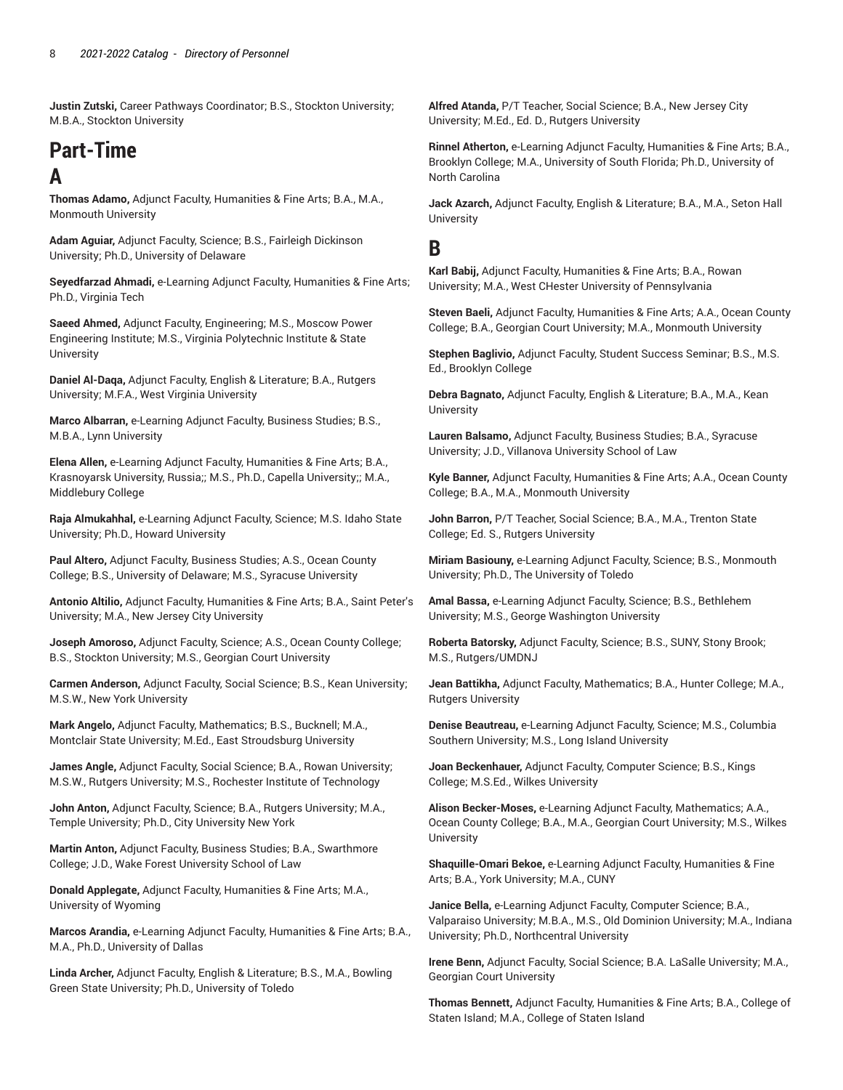**Justin Zutski,** Career Pathways Coordinator; B.S., Stockton University; M.B.A., Stockton University

## **Part-Time A**

**Thomas Adamo,** Adjunct Faculty, Humanities & Fine Arts; B.A., M.A., Monmouth University

**Adam Aguiar,** Adjunct Faculty, Science; B.S., Fairleigh Dickinson University; Ph.D., University of Delaware

**Seyedfarzad Ahmadi,** e-Learning Adjunct Faculty, Humanities & Fine Arts; Ph.D., Virginia Tech

**Saeed Ahmed,** Adjunct Faculty, Engineering; M.S., Moscow Power Engineering Institute; M.S., Virginia Polytechnic Institute & State University

**Daniel Al-Daqa,** Adjunct Faculty, English & Literature; B.A., Rutgers University; M.F.A., West Virginia University

**Marco Albarran,** e-Learning Adjunct Faculty, Business Studies; B.S., M.B.A., Lynn University

**Elena Allen,** e-Learning Adjunct Faculty, Humanities & Fine Arts; B.A., Krasnoyarsk University, Russia;; M.S., Ph.D., Capella University;; M.A., Middlebury College

**Raja Almukahhal,** e-Learning Adjunct Faculty, Science; M.S. Idaho State University; Ph.D., Howard University

**Paul Altero,** Adjunct Faculty, Business Studies; A.S., Ocean County College; B.S., University of Delaware; M.S., Syracuse University

**Antonio Altilio,** Adjunct Faculty, Humanities & Fine Arts; B.A., Saint Peter's University; M.A., New Jersey City University

**Joseph Amoroso,** Adjunct Faculty, Science; A.S., Ocean County College; B.S., Stockton University; M.S., Georgian Court University

**Carmen Anderson,** Adjunct Faculty, Social Science; B.S., Kean University; M.S.W., New York University

**Mark Angelo,** Adjunct Faculty, Mathematics; B.S., Bucknell; M.A., Montclair State University; M.Ed., East Stroudsburg University

**James Angle,** Adjunct Faculty, Social Science; B.A., Rowan University; M.S.W., Rutgers University; M.S., Rochester Institute of Technology

**John Anton,** Adjunct Faculty, Science; B.A., Rutgers University; M.A., Temple University; Ph.D., City University New York

**Martin Anton,** Adjunct Faculty, Business Studies; B.A., Swarthmore College; J.D., Wake Forest University School of Law

**Donald Applegate,** Adjunct Faculty, Humanities & Fine Arts; M.A., University of Wyoming

**Marcos Arandia,** e-Learning Adjunct Faculty, Humanities & Fine Arts; B.A., M.A., Ph.D., University of Dallas

**Linda Archer,** Adjunct Faculty, English & Literature; B.S., M.A., Bowling Green State University; Ph.D., University of Toledo

**Alfred Atanda,** P/T Teacher, Social Science; B.A., New Jersey City University; M.Ed., Ed. D., Rutgers University

**Rinnel Atherton,** e-Learning Adjunct Faculty, Humanities & Fine Arts; B.A., Brooklyn College; M.A., University of South Florida; Ph.D., University of North Carolina

**Jack Azarch,** Adjunct Faculty, English & Literature; B.A., M.A., Seton Hall **University** 

### **B**

**Karl Babij,** Adjunct Faculty, Humanities & Fine Arts; B.A., Rowan University; M.A., West CHester University of Pennsylvania

**Steven Baeli,** Adjunct Faculty, Humanities & Fine Arts; A.A., Ocean County College; B.A., Georgian Court University; M.A., Monmouth University

**Stephen Baglivio,** Adjunct Faculty, Student Success Seminar; B.S., M.S. Ed., Brooklyn College

**Debra Bagnato,** Adjunct Faculty, English & Literature; B.A., M.A., Kean **University** 

**Lauren Balsamo,** Adjunct Faculty, Business Studies; B.A., Syracuse University; J.D., Villanova University School of Law

**Kyle Banner,** Adjunct Faculty, Humanities & Fine Arts; A.A., Ocean County College; B.A., M.A., Monmouth University

**John Barron,** P/T Teacher, Social Science; B.A., M.A., Trenton State College; Ed. S., Rutgers University

**Miriam Basiouny,** e-Learning Adjunct Faculty, Science; B.S., Monmouth University; Ph.D., The University of Toledo

**Amal Bassa,** e-Learning Adjunct Faculty, Science; B.S., Bethlehem University; M.S., George Washington University

**Roberta Batorsky,** Adjunct Faculty, Science; B.S., SUNY, Stony Brook; M.S., Rutgers/UMDNJ

**Jean Battikha,** Adjunct Faculty, Mathematics; B.A., Hunter College; M.A., Rutgers University

**Denise Beautreau,** e-Learning Adjunct Faculty, Science; M.S., Columbia Southern University; M.S., Long Island University

**Joan Beckenhauer,** Adjunct Faculty, Computer Science; B.S., Kings College; M.S.Ed., Wilkes University

**Alison Becker-Moses,** e-Learning Adjunct Faculty, Mathematics; A.A., Ocean County College; B.A., M.A., Georgian Court University; M.S., Wilkes **University** 

**Shaquille-Omari Bekoe,** e-Learning Adjunct Faculty, Humanities & Fine Arts; B.A., York University; M.A., CUNY

**Janice Bella,** e-Learning Adjunct Faculty, Computer Science; B.A., Valparaiso University; M.B.A., M.S., Old Dominion University; M.A., Indiana University; Ph.D., Northcentral University

**Irene Benn,** Adjunct Faculty, Social Science; B.A. LaSalle University; M.A., Georgian Court University

**Thomas Bennett,** Adjunct Faculty, Humanities & Fine Arts; B.A., College of Staten Island; M.A., College of Staten Island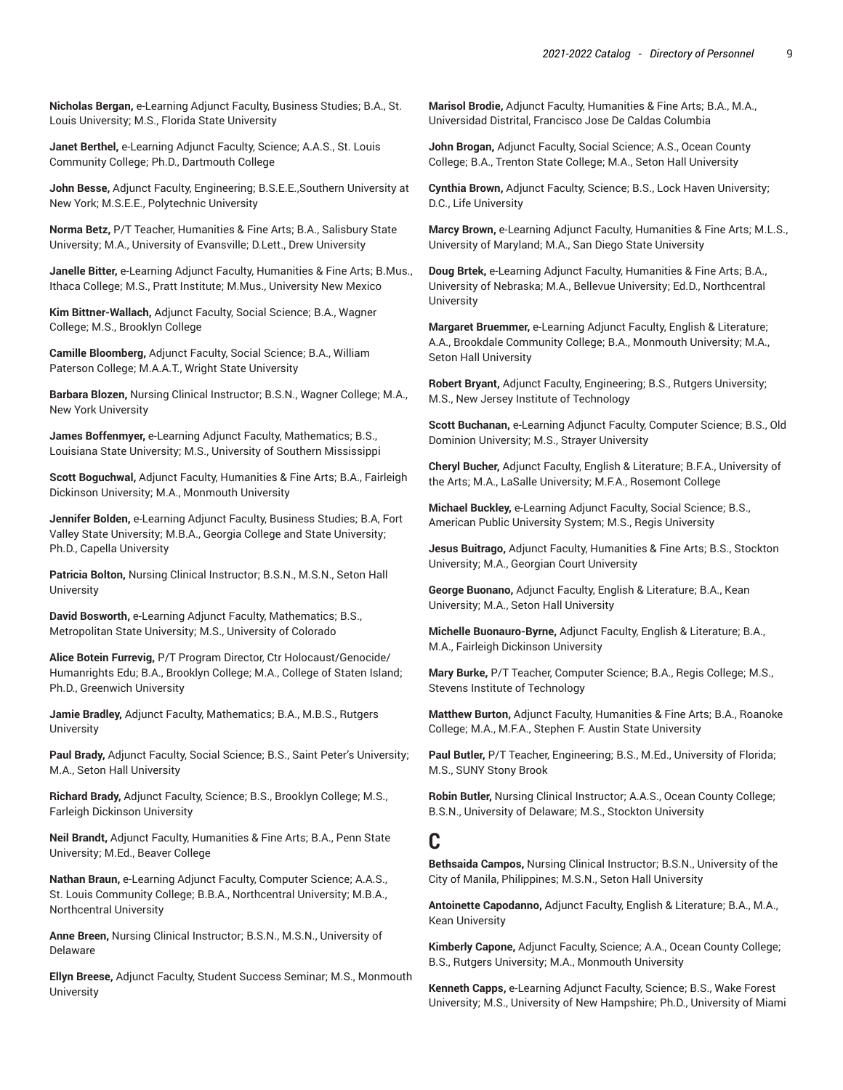**Nicholas Bergan,** e-Learning Adjunct Faculty, Business Studies; B.A., St. Louis University; M.S., Florida State University

**Janet Berthel,** e-Learning Adjunct Faculty, Science; A.A.S., St. Louis Community College; Ph.D., Dartmouth College

**John Besse,** Adjunct Faculty, Engineering; B.S.E.E.,Southern University at New York; M.S.E.E., Polytechnic University

**Norma Betz,** P/T Teacher, Humanities & Fine Arts; B.A., Salisbury State University; M.A., University of Evansville; D.Lett., Drew University

**Janelle Bitter,** e-Learning Adjunct Faculty, Humanities & Fine Arts; B.Mus., Ithaca College; M.S., Pratt Institute; M.Mus., University New Mexico

**Kim Bittner-Wallach,** Adjunct Faculty, Social Science; B.A., Wagner College; M.S., Brooklyn College

**Camille Bloomberg,** Adjunct Faculty, Social Science; B.A., William Paterson College; M.A.A.T., Wright State University

**Barbara Blozen,** Nursing Clinical Instructor; B.S.N., Wagner College; M.A., New York University

**James Boffenmyer,** e-Learning Adjunct Faculty, Mathematics; B.S., Louisiana State University; M.S., University of Southern Mississippi

**Scott Boguchwal,** Adjunct Faculty, Humanities & Fine Arts; B.A., Fairleigh Dickinson University; M.A., Monmouth University

**Jennifer Bolden,** e-Learning Adjunct Faculty, Business Studies; B.A, Fort Valley State University; M.B.A., Georgia College and State University; Ph.D., Capella University

**Patricia Bolton,** Nursing Clinical Instructor; B.S.N., M.S.N., Seton Hall **University** 

**David Bosworth,** e-Learning Adjunct Faculty, Mathematics; B.S., Metropolitan State University; M.S., University of Colorado

**Alice Botein Furrevig,** P/T Program Director, Ctr Holocaust/Genocide/ Humanrights Edu; B.A., Brooklyn College; M.A., College of Staten Island; Ph.D., Greenwich University

**Jamie Bradley,** Adjunct Faculty, Mathematics; B.A., M.B.S., Rutgers **University** 

**Paul Brady,** Adjunct Faculty, Social Science; B.S., Saint Peter's University; M.A., Seton Hall University

**Richard Brady,** Adjunct Faculty, Science; B.S., Brooklyn College; M.S., Farleigh Dickinson University

**Neil Brandt,** Adjunct Faculty, Humanities & Fine Arts; B.A., Penn State University; M.Ed., Beaver College

**Nathan Braun,** e-Learning Adjunct Faculty, Computer Science; A.A.S., St. Louis Community College; B.B.A., Northcentral University; M.B.A., Northcentral University

**Anne Breen,** Nursing Clinical Instructor; B.S.N., M.S.N., University of Delaware

**Ellyn Breese,** Adjunct Faculty, Student Success Seminar; M.S., Monmouth University

**Marisol Brodie,** Adjunct Faculty, Humanities & Fine Arts; B.A., M.A., Universidad Distrital, Francisco Jose De Caldas Columbia

**John Brogan,** Adjunct Faculty, Social Science; A.S., Ocean County College; B.A., Trenton State College; M.A., Seton Hall University

**Cynthia Brown,** Adjunct Faculty, Science; B.S., Lock Haven University; D.C., Life University

**Marcy Brown,** e-Learning Adjunct Faculty, Humanities & Fine Arts; M.L.S., University of Maryland; M.A., San Diego State University

**Doug Brtek,** e-Learning Adjunct Faculty, Humanities & Fine Arts; B.A., University of Nebraska; M.A., Bellevue University; Ed.D., Northcentral **University** 

**Margaret Bruemmer,** e-Learning Adjunct Faculty, English & Literature; A.A., Brookdale Community College; B.A., Monmouth University; M.A., Seton Hall University

**Robert Bryant,** Adjunct Faculty, Engineering; B.S., Rutgers University; M.S., New Jersey Institute of Technology

**Scott Buchanan,** e-Learning Adjunct Faculty, Computer Science; B.S., Old Dominion University; M.S., Strayer University

**Cheryl Bucher,** Adjunct Faculty, English & Literature; B.F.A., University of the Arts; M.A., LaSalle University; M.F.A., Rosemont College

**Michael Buckley,** e-Learning Adjunct Faculty, Social Science; B.S., American Public University System; M.S., Regis University

**Jesus Buitrago,** Adjunct Faculty, Humanities & Fine Arts; B.S., Stockton University; M.A., Georgian Court University

**George Buonano,** Adjunct Faculty, English & Literature; B.A., Kean University; M.A., Seton Hall University

**Michelle Buonauro-Byrne,** Adjunct Faculty, English & Literature; B.A., M.A., Fairleigh Dickinson University

**Mary Burke,** P/T Teacher, Computer Science; B.A., Regis College; M.S., Stevens Institute of Technology

**Matthew Burton,** Adjunct Faculty, Humanities & Fine Arts; B.A., Roanoke College; M.A., M.F.A., Stephen F. Austin State University

**Paul Butler,** P/T Teacher, Engineering; B.S., M.Ed., University of Florida; M.S., SUNY Stony Brook

**Robin Butler,** Nursing Clinical Instructor; A.A.S., Ocean County College; B.S.N., University of Delaware; M.S., Stockton University

#### **C**

**Bethsaida Campos,** Nursing Clinical Instructor; B.S.N., University of the City of Manila, Philippines; M.S.N., Seton Hall University

**Antoinette Capodanno,** Adjunct Faculty, English & Literature; B.A., M.A., Kean University

**Kimberly Capone,** Adjunct Faculty, Science; A.A., Ocean County College; B.S., Rutgers University; M.A., Monmouth University

**Kenneth Capps,** e-Learning Adjunct Faculty, Science; B.S., Wake Forest University; M.S., University of New Hampshire; Ph.D., University of Miami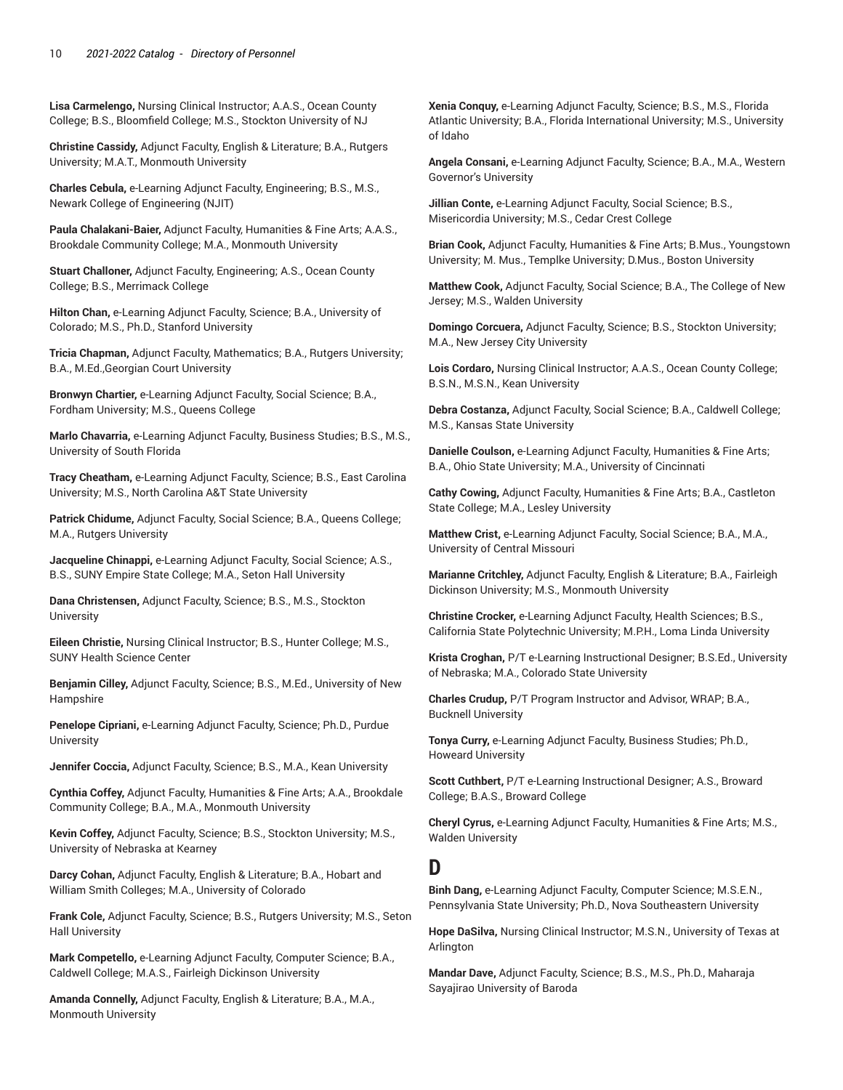**Lisa Carmelengo,** Nursing Clinical Instructor; A.A.S., Ocean County College; B.S., Bloomfield College; M.S., Stockton University of NJ

**Christine Cassidy,** Adjunct Faculty, English & Literature; B.A., Rutgers University; M.A.T., Monmouth University

**Charles Cebula,** e-Learning Adjunct Faculty, Engineering; B.S., M.S., Newark College of Engineering (NJIT)

**Paula Chalakani-Baier,** Adjunct Faculty, Humanities & Fine Arts; A.A.S., Brookdale Community College; M.A., Monmouth University

**Stuart Challoner,** Adjunct Faculty, Engineering; A.S., Ocean County College; B.S., Merrimack College

**Hilton Chan,** e-Learning Adjunct Faculty, Science; B.A., University of Colorado; M.S., Ph.D., Stanford University

**Tricia Chapman,** Adjunct Faculty, Mathematics; B.A., Rutgers University; B.A., M.Ed.,Georgian Court University

**Bronwyn Chartier,** e-Learning Adjunct Faculty, Social Science; B.A., Fordham University; M.S., Queens College

**Marlo Chavarria,** e-Learning Adjunct Faculty, Business Studies; B.S., M.S., University of South Florida

**Tracy Cheatham,** e-Learning Adjunct Faculty, Science; B.S., East Carolina University; M.S., North Carolina A&T State University

**Patrick Chidume,** Adjunct Faculty, Social Science; B.A., Queens College; M.A., Rutgers University

**Jacqueline Chinappi,** e-Learning Adjunct Faculty, Social Science; A.S., B.S., SUNY Empire State College; M.A., Seton Hall University

**Dana Christensen,** Adjunct Faculty, Science; B.S., M.S., Stockton **University** 

**Eileen Christie,** Nursing Clinical Instructor; B.S., Hunter College; M.S., SUNY Health Science Center

**Benjamin Cilley,** Adjunct Faculty, Science; B.S., M.Ed., University of New Hampshire

**Penelope Cipriani,** e-Learning Adjunct Faculty, Science; Ph.D., Purdue **University** 

**Jennifer Coccia,** Adjunct Faculty, Science; B.S., M.A., Kean University

**Cynthia Coffey,** Adjunct Faculty, Humanities & Fine Arts; A.A., Brookdale Community College; B.A., M.A., Monmouth University

**Kevin Coffey,** Adjunct Faculty, Science; B.S., Stockton University; M.S., University of Nebraska at Kearney

**Darcy Cohan,** Adjunct Faculty, English & Literature; B.A., Hobart and William Smith Colleges; M.A., University of Colorado

**Frank Cole,** Adjunct Faculty, Science; B.S., Rutgers University; M.S., Seton Hall University

**Mark Competello,** e-Learning Adjunct Faculty, Computer Science; B.A., Caldwell College; M.A.S., Fairleigh Dickinson University

**Amanda Connelly,** Adjunct Faculty, English & Literature; B.A., M.A., Monmouth University

**Xenia Conquy,** e-Learning Adjunct Faculty, Science; B.S., M.S., Florida Atlantic University; B.A., Florida International University; M.S., University of Idaho

**Angela Consani,** e-Learning Adjunct Faculty, Science; B.A., M.A., Western Governor's University

**Jillian Conte,** e-Learning Adjunct Faculty, Social Science; B.S., Misericordia University; M.S., Cedar Crest College

**Brian Cook,** Adjunct Faculty, Humanities & Fine Arts; B.Mus., Youngstown University; M. Mus., Templke University; D.Mus., Boston University

**Matthew Cook,** Adjunct Faculty, Social Science; B.A., The College of New Jersey; M.S., Walden University

**Domingo Corcuera,** Adjunct Faculty, Science; B.S., Stockton University; M.A., New Jersey City University

**Lois Cordaro,** Nursing Clinical Instructor; A.A.S., Ocean County College; B.S.N., M.S.N., Kean University

**Debra Costanza,** Adjunct Faculty, Social Science; B.A., Caldwell College; M.S., Kansas State University

**Danielle Coulson,** e-Learning Adjunct Faculty, Humanities & Fine Arts; B.A., Ohio State University; M.A., University of Cincinnati

**Cathy Cowing,** Adjunct Faculty, Humanities & Fine Arts; B.A., Castleton State College; M.A., Lesley University

**Matthew Crist,** e-Learning Adjunct Faculty, Social Science; B.A., M.A., University of Central Missouri

**Marianne Critchley,** Adjunct Faculty, English & Literature; B.A., Fairleigh Dickinson University; M.S., Monmouth University

**Christine Crocker,** e-Learning Adjunct Faculty, Health Sciences; B.S., California State Polytechnic University; M.P.H., Loma Linda University

**Krista Croghan,** P/T e-Learning Instructional Designer; B.S.Ed., University of Nebraska; M.A., Colorado State University

**Charles Crudup,** P/T Program Instructor and Advisor, WRAP; B.A., Bucknell University

**Tonya Curry,** e-Learning Adjunct Faculty, Business Studies; Ph.D., Howeard University

**Scott Cuthbert,** P/T e-Learning Instructional Designer; A.S., Broward College; B.A.S., Broward College

**Cheryl Cyrus,** e-Learning Adjunct Faculty, Humanities & Fine Arts; M.S., Walden University

#### **D**

**Binh Dang,** e-Learning Adjunct Faculty, Computer Science; M.S.E.N., Pennsylvania State University; Ph.D., Nova Southeastern University

**Hope DaSilva,** Nursing Clinical Instructor; M.S.N., University of Texas at Arlington

**Mandar Dave,** Adjunct Faculty, Science; B.S., M.S., Ph.D., Maharaja Sayajirao University of Baroda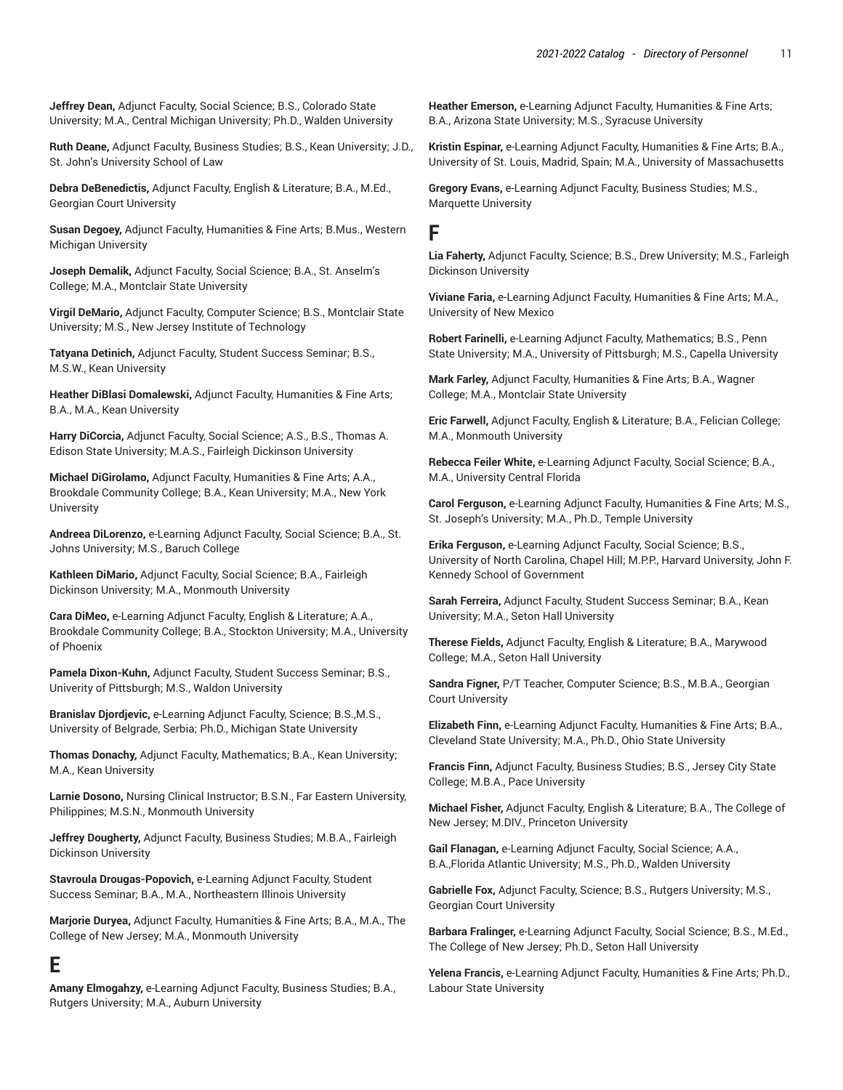**Jeffrey Dean,** Adjunct Faculty, Social Science; B.S., Colorado State University; M.A., Central Michigan University; Ph.D., Walden University

**Ruth Deane,** Adjunct Faculty, Business Studies; B.S., Kean University; J.D., St. John's University School of Law

**Debra DeBenedictis,** Adjunct Faculty, English & Literature; B.A., M.Ed., Georgian Court University

**Susan Degoey,** Adjunct Faculty, Humanities & Fine Arts; B.Mus., Western Michigan University

**Joseph Demalik,** Adjunct Faculty, Social Science; B.A., St. Anselm's College; M.A., Montclair State University

**Virgil DeMario,** Adjunct Faculty, Computer Science; B.S., Montclair State University; M.S., New Jersey Institute of Technology

**Tatyana Detinich,** Adjunct Faculty, Student Success Seminar; B.S., M.S.W., Kean University

**Heather DiBlasi Domalewski,** Adjunct Faculty, Humanities & Fine Arts; B.A., M.A., Kean University

**Harry DiCorcia,** Adjunct Faculty, Social Science; A.S., B.S., Thomas A. Edison State University; M.A.S., Fairleigh Dickinson University

**Michael DiGirolamo,** Adjunct Faculty, Humanities & Fine Arts; A.A., Brookdale Community College; B.A., Kean University; M.A., New York **University** 

**Andreea DiLorenzo,** e-Learning Adjunct Faculty, Social Science; B.A., St. Johns University; M.S., Baruch College

**Kathleen DiMario,** Adjunct Faculty, Social Science; B.A., Fairleigh Dickinson University; M.A., Monmouth University

**Cara DiMeo,** e-Learning Adjunct Faculty, English & Literature; A.A., Brookdale Community College; B.A., Stockton University; M.A., University of Phoenix

**Pamela Dixon-Kuhn,** Adjunct Faculty, Student Success Seminar; B.S., Univerity of Pittsburgh; M.S., Waldon University

**Branislav Djordjevic,** e-Learning Adjunct Faculty, Science; B.S.,M.S., University of Belgrade, Serbia; Ph.D., Michigan State University

**Thomas Donachy,** Adjunct Faculty, Mathematics; B.A., Kean University; M.A., Kean University

**Larnie Dosono,** Nursing Clinical Instructor; B.S.N., Far Eastern University, Philippines; M.S.N., Monmouth University

**Jeffrey Dougherty,** Adjunct Faculty, Business Studies; M.B.A., Fairleigh Dickinson University

**Stavroula Drougas-Popovich,** e-Learning Adjunct Faculty, Student Success Seminar; B.A., M.A., Northeastern Illinois University

**Marjorie Duryea,** Adjunct Faculty, Humanities & Fine Arts; B.A., M.A., The College of New Jersey; M.A., Monmouth University

## **E**

**Amany Elmogahzy,** e-Learning Adjunct Faculty, Business Studies; B.A., Rutgers University; M.A., Auburn University

**Heather Emerson,** e-Learning Adjunct Faculty, Humanities & Fine Arts; B.A., Arizona State University; M.S., Syracuse University

**Kristin Espinar,** e-Learning Adjunct Faculty, Humanities & Fine Arts; B.A., University of St. Louis, Madrid, Spain; M.A., University of Massachusetts

**Gregory Evans,** e-Learning Adjunct Faculty, Business Studies; M.S., Marquette University

#### **F**

**Lia Faherty,** Adjunct Faculty, Science; B.S., Drew University; M.S., Farleigh Dickinson University

**Viviane Faria,** e-Learning Adjunct Faculty, Humanities & Fine Arts; M.A., University of New Mexico

**Robert Farinelli,** e-Learning Adjunct Faculty, Mathematics; B.S., Penn State University; M.A., University of Pittsburgh; M.S., Capella University

**Mark Farley,** Adjunct Faculty, Humanities & Fine Arts; B.A., Wagner College; M.A., Montclair State University

**Eric Farwell,** Adjunct Faculty, English & Literature; B.A., Felician College; M.A., Monmouth University

**Rebecca Feiler White,** e-Learning Adjunct Faculty, Social Science; B.A., M.A., University Central Florida

**Carol Ferguson,** e-Learning Adjunct Faculty, Humanities & Fine Arts; M.S., St. Joseph's University; M.A., Ph.D., Temple University

**Erika Ferguson,** e-Learning Adjunct Faculty, Social Science; B.S., University of North Carolina, Chapel Hill; M.P.P., Harvard University, John F. Kennedy School of Government

**Sarah Ferreira,** Adjunct Faculty, Student Success Seminar; B.A., Kean University; M.A., Seton Hall University

**Therese Fields,** Adjunct Faculty, English & Literature; B.A., Marywood College; M.A., Seton Hall University

**Sandra Figner,** P/T Teacher, Computer Science; B.S., M.B.A., Georgian Court University

**Elizabeth Finn,** e-Learning Adjunct Faculty, Humanities & Fine Arts; B.A., Cleveland State University; M.A., Ph.D., Ohio State University

**Francis Finn,** Adjunct Faculty, Business Studies; B.S., Jersey City State College; M.B.A., Pace University

**Michael Fisher,** Adjunct Faculty, English & Literature; B.A., The College of New Jersey; M.DIV., Princeton University

**Gail Flanagan,** e-Learning Adjunct Faculty, Social Science; A.A., B.A.,Florida Atlantic University; M.S., Ph.D., Walden University

**Gabrielle Fox,** Adjunct Faculty, Science; B.S., Rutgers University; M.S., Georgian Court University

**Barbara Fralinger,** e-Learning Adjunct Faculty, Social Science; B.S., M.Ed., The College of New Jersey; Ph.D., Seton Hall University

**Yelena Francis,** e-Learning Adjunct Faculty, Humanities & Fine Arts; Ph.D., Labour State University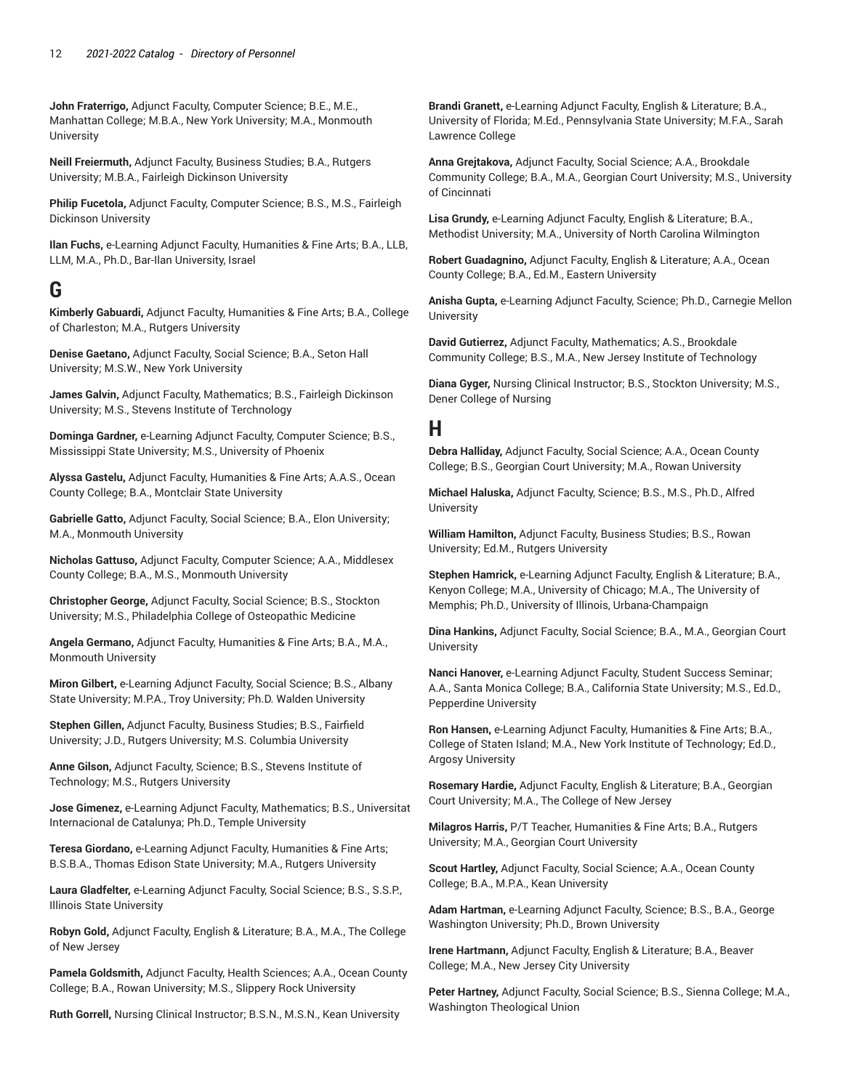**John Fraterrigo,** Adjunct Faculty, Computer Science; B.E., M.E., Manhattan College; M.B.A., New York University; M.A., Monmouth **University** 

**Neill Freiermuth,** Adjunct Faculty, Business Studies; B.A., Rutgers University; M.B.A., Fairleigh Dickinson University

**Philip Fucetola,** Adjunct Faculty, Computer Science; B.S., M.S., Fairleigh Dickinson University

**Ilan Fuchs,** e-Learning Adjunct Faculty, Humanities & Fine Arts; B.A., LLB, LLM, M.A., Ph.D., Bar-Ilan University, Israel

## **G**

**Kimberly Gabuardi,** Adjunct Faculty, Humanities & Fine Arts; B.A., College of Charleston; M.A., Rutgers University

**Denise Gaetano,** Adjunct Faculty, Social Science; B.A., Seton Hall University; M.S.W., New York University

**James Galvin,** Adjunct Faculty, Mathematics; B.S., Fairleigh Dickinson University; M.S., Stevens Institute of Terchnology

**Dominga Gardner,** e-Learning Adjunct Faculty, Computer Science; B.S., Mississippi State University; M.S., University of Phoenix

**Alyssa Gastelu,** Adjunct Faculty, Humanities & Fine Arts; A.A.S., Ocean County College; B.A., Montclair State University

**Gabrielle Gatto,** Adjunct Faculty, Social Science; B.A., Elon University; M.A., Monmouth University

**Nicholas Gattuso,** Adjunct Faculty, Computer Science; A.A., Middlesex County College; B.A., M.S., Monmouth University

**Christopher George,** Adjunct Faculty, Social Science; B.S., Stockton University; M.S., Philadelphia College of Osteopathic Medicine

**Angela Germano,** Adjunct Faculty, Humanities & Fine Arts; B.A., M.A., Monmouth University

**Miron Gilbert,** e-Learning Adjunct Faculty, Social Science; B.S., Albany State University; M.P.A., Troy University; Ph.D. Walden University

**Stephen Gillen,** Adjunct Faculty, Business Studies; B.S., Fairfield University; J.D., Rutgers University; M.S. Columbia University

**Anne Gilson,** Adjunct Faculty, Science; B.S., Stevens Institute of Technology; M.S., Rutgers University

**Jose Gimenez,** e-Learning Adjunct Faculty, Mathematics; B.S., Universitat Internacional de Catalunya; Ph.D., Temple University

**Teresa Giordano,** e-Learning Adjunct Faculty, Humanities & Fine Arts; B.S.B.A., Thomas Edison State University; M.A., Rutgers University

**Laura Gladfelter,** e-Learning Adjunct Faculty, Social Science; B.S., S.S.P., Illinois State University

**Robyn Gold,** Adjunct Faculty, English & Literature; B.A., M.A., The College of New Jersey

**Pamela Goldsmith,** Adjunct Faculty, Health Sciences; A.A., Ocean County College; B.A., Rowan University; M.S., Slippery Rock University

**Ruth Gorrell,** Nursing Clinical Instructor; B.S.N., M.S.N., Kean University

**Brandi Granett,** e-Learning Adjunct Faculty, English & Literature; B.A., University of Florida; M.Ed., Pennsylvania State University; M.F.A., Sarah Lawrence College

**Anna Grejtakova,** Adjunct Faculty, Social Science; A.A., Brookdale Community College; B.A., M.A., Georgian Court University; M.S., University of Cincinnati

**Lisa Grundy,** e-Learning Adjunct Faculty, English & Literature; B.A., Methodist University; M.A., University of North Carolina Wilmington

**Robert Guadagnino,** Adjunct Faculty, English & Literature; A.A., Ocean County College; B.A., Ed.M., Eastern University

**Anisha Gupta,** e-Learning Adjunct Faculty, Science; Ph.D., Carnegie Mellon University

**David Gutierrez,** Adjunct Faculty, Mathematics; A.S., Brookdale Community College; B.S., M.A., New Jersey Institute of Technology

**Diana Gyger,** Nursing Clinical Instructor; B.S., Stockton University; M.S., Dener College of Nursing

## **H**

**Debra Halliday,** Adjunct Faculty, Social Science; A.A., Ocean County College; B.S., Georgian Court University; M.A., Rowan University

**Michael Haluska,** Adjunct Faculty, Science; B.S., M.S., Ph.D., Alfred **University** 

**William Hamilton,** Adjunct Faculty, Business Studies; B.S., Rowan University; Ed.M., Rutgers University

**Stephen Hamrick,** e-Learning Adjunct Faculty, English & Literature; B.A., Kenyon College; M.A., University of Chicago; M.A., The University of Memphis; Ph.D., University of Illinois, Urbana-Champaign

**Dina Hankins,** Adjunct Faculty, Social Science; B.A., M.A., Georgian Court University

**Nanci Hanover,** e-Learning Adjunct Faculty, Student Success Seminar; A.A., Santa Monica College; B.A., California State University; M.S., Ed.D., Pepperdine University

**Ron Hansen,** e-Learning Adjunct Faculty, Humanities & Fine Arts; B.A., College of Staten Island; M.A., New York Institute of Technology; Ed.D., Argosy University

**Rosemary Hardie,** Adjunct Faculty, English & Literature; B.A., Georgian Court University; M.A., The College of New Jersey

**Milagros Harris,** P/T Teacher, Humanities & Fine Arts; B.A., Rutgers University; M.A., Georgian Court University

**Scout Hartley,** Adjunct Faculty, Social Science; A.A., Ocean County College; B.A., M.P.A., Kean University

**Adam Hartman,** e-Learning Adjunct Faculty, Science; B.S., B.A., George Washington University; Ph.D., Brown University

**Irene Hartmann,** Adjunct Faculty, English & Literature; B.A., Beaver College; M.A., New Jersey City University

**Peter Hartney,** Adjunct Faculty, Social Science; B.S., Sienna College; M.A., Washington Theological Union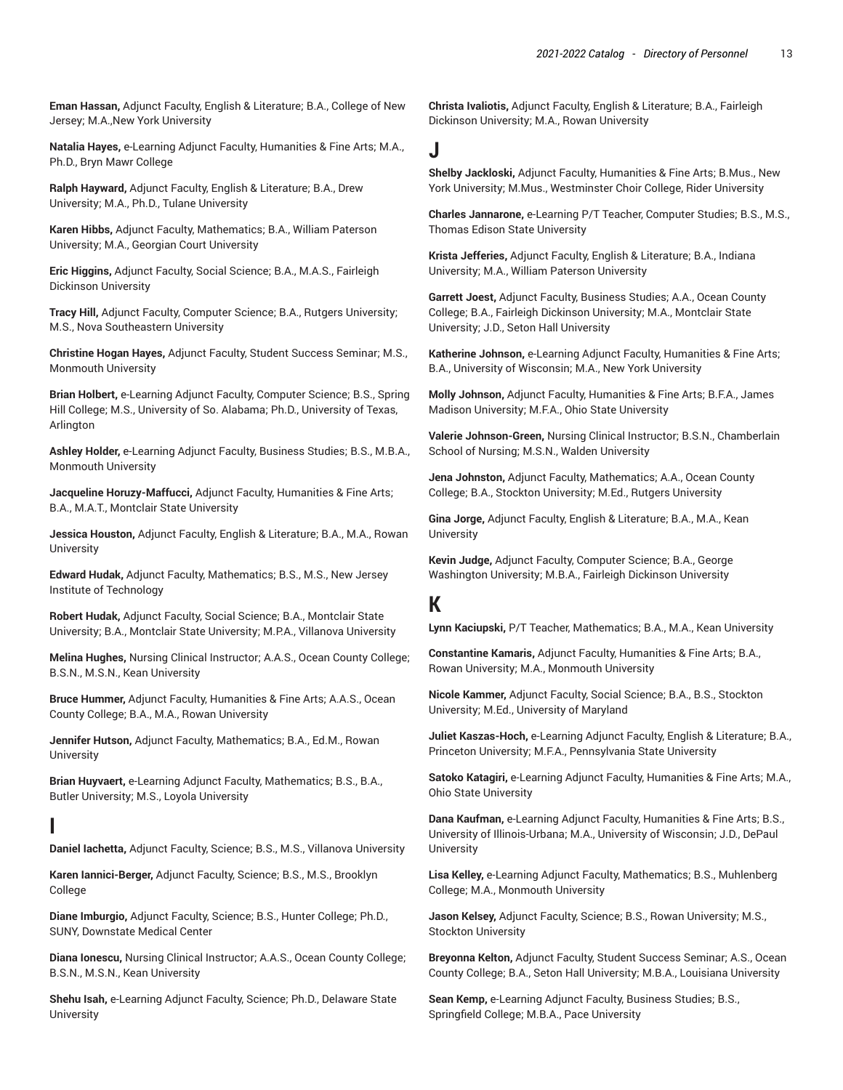**Eman Hassan,** Adjunct Faculty, English & Literature; B.A., College of New Jersey; M.A.,New York University

**Natalia Hayes,** e-Learning Adjunct Faculty, Humanities & Fine Arts; M.A., Ph.D., Bryn Mawr College

**Ralph Hayward,** Adjunct Faculty, English & Literature; B.A., Drew University; M.A., Ph.D., Tulane University

**Karen Hibbs,** Adjunct Faculty, Mathematics; B.A., William Paterson University; M.A., Georgian Court University

**Eric Higgins,** Adjunct Faculty, Social Science; B.A., M.A.S., Fairleigh Dickinson University

**Tracy Hill,** Adjunct Faculty, Computer Science; B.A., Rutgers University; M.S., Nova Southeastern University

**Christine Hogan Hayes,** Adjunct Faculty, Student Success Seminar; M.S., Monmouth University

**Brian Holbert,** e-Learning Adjunct Faculty, Computer Science; B.S., Spring Hill College; M.S., University of So. Alabama; Ph.D., University of Texas, Arlington

**Ashley Holder,** e-Learning Adjunct Faculty, Business Studies; B.S., M.B.A., Monmouth University

**Jacqueline Horuzy-Maffucci,** Adjunct Faculty, Humanities & Fine Arts; B.A., M.A.T., Montclair State University

**Jessica Houston,** Adjunct Faculty, English & Literature; B.A., M.A., Rowan University

**Edward Hudak,** Adjunct Faculty, Mathematics; B.S., M.S., New Jersey Institute of Technology

**Robert Hudak,** Adjunct Faculty, Social Science; B.A., Montclair State University; B.A., Montclair State University; M.P.A., Villanova University

**Melina Hughes,** Nursing Clinical Instructor; A.A.S., Ocean County College; B.S.N., M.S.N., Kean University

**Bruce Hummer,** Adjunct Faculty, Humanities & Fine Arts; A.A.S., Ocean County College; B.A., M.A., Rowan University

**Jennifer Hutson,** Adjunct Faculty, Mathematics; B.A., Ed.M., Rowan **University** 

**Brian Huyvaert,** e-Learning Adjunct Faculty, Mathematics; B.S., B.A., Butler University; M.S., Loyola University

#### **I**

**Daniel Iachetta,** Adjunct Faculty, Science; B.S., M.S., Villanova University

**Karen Iannici-Berger,** Adjunct Faculty, Science; B.S., M.S., Brooklyn College

**Diane Imburgio,** Adjunct Faculty, Science; B.S., Hunter College; Ph.D., SUNY, Downstate Medical Center

**Diana Ionescu,** Nursing Clinical Instructor; A.A.S., Ocean County College; B.S.N., M.S.N., Kean University

**Shehu Isah,** e-Learning Adjunct Faculty, Science; Ph.D., Delaware State University

**Christa Ivaliotis,** Adjunct Faculty, English & Literature; B.A., Fairleigh Dickinson University; M.A., Rowan University

#### **J**

**Shelby Jackloski,** Adjunct Faculty, Humanities & Fine Arts; B.Mus., New York University; M.Mus., Westminster Choir College, Rider University

**Charles Jannarone,** e-Learning P/T Teacher, Computer Studies; B.S., M.S., Thomas Edison State University

**Krista Jefferies,** Adjunct Faculty, English & Literature; B.A., Indiana University; M.A., William Paterson University

**Garrett Joest,** Adjunct Faculty, Business Studies; A.A., Ocean County College; B.A., Fairleigh Dickinson University; M.A., Montclair State University; J.D., Seton Hall University

**Katherine Johnson,** e-Learning Adjunct Faculty, Humanities & Fine Arts; B.A., University of Wisconsin; M.A., New York University

**Molly Johnson,** Adjunct Faculty, Humanities & Fine Arts; B.F.A., James Madison University; M.F.A., Ohio State University

**Valerie Johnson-Green,** Nursing Clinical Instructor; B.S.N., Chamberlain School of Nursing; M.S.N., Walden University

**Jena Johnston,** Adjunct Faculty, Mathematics; A.A., Ocean County College; B.A., Stockton University; M.Ed., Rutgers University

**Gina Jorge,** Adjunct Faculty, English & Literature; B.A., M.A., Kean **University** 

**Kevin Judge,** Adjunct Faculty, Computer Science; B.A., George Washington University; M.B.A., Fairleigh Dickinson University

## **K**

**Lynn Kaciupski,** P/T Teacher, Mathematics; B.A., M.A., Kean University

**Constantine Kamaris,** Adjunct Faculty, Humanities & Fine Arts; B.A., Rowan University; M.A., Monmouth University

**Nicole Kammer,** Adjunct Faculty, Social Science; B.A., B.S., Stockton University; M.Ed., University of Maryland

**Juliet Kaszas-Hoch,** e-Learning Adjunct Faculty, English & Literature; B.A., Princeton University; M.F.A., Pennsylvania State University

**Satoko Katagiri,** e-Learning Adjunct Faculty, Humanities & Fine Arts; M.A., Ohio State University

**Dana Kaufman,** e-Learning Adjunct Faculty, Humanities & Fine Arts; B.S., University of Illinois-Urbana; M.A., University of Wisconsin; J.D., DePaul University

**Lisa Kelley,** e-Learning Adjunct Faculty, Mathematics; B.S., Muhlenberg College; M.A., Monmouth University

**Jason Kelsey,** Adjunct Faculty, Science; B.S., Rowan University; M.S., Stockton University

**Breyonna Kelton,** Adjunct Faculty, Student Success Seminar; A.S., Ocean County College; B.A., Seton Hall University; M.B.A., Louisiana University

**Sean Kemp,** e-Learning Adjunct Faculty, Business Studies; B.S., Springfield College; M.B.A., Pace University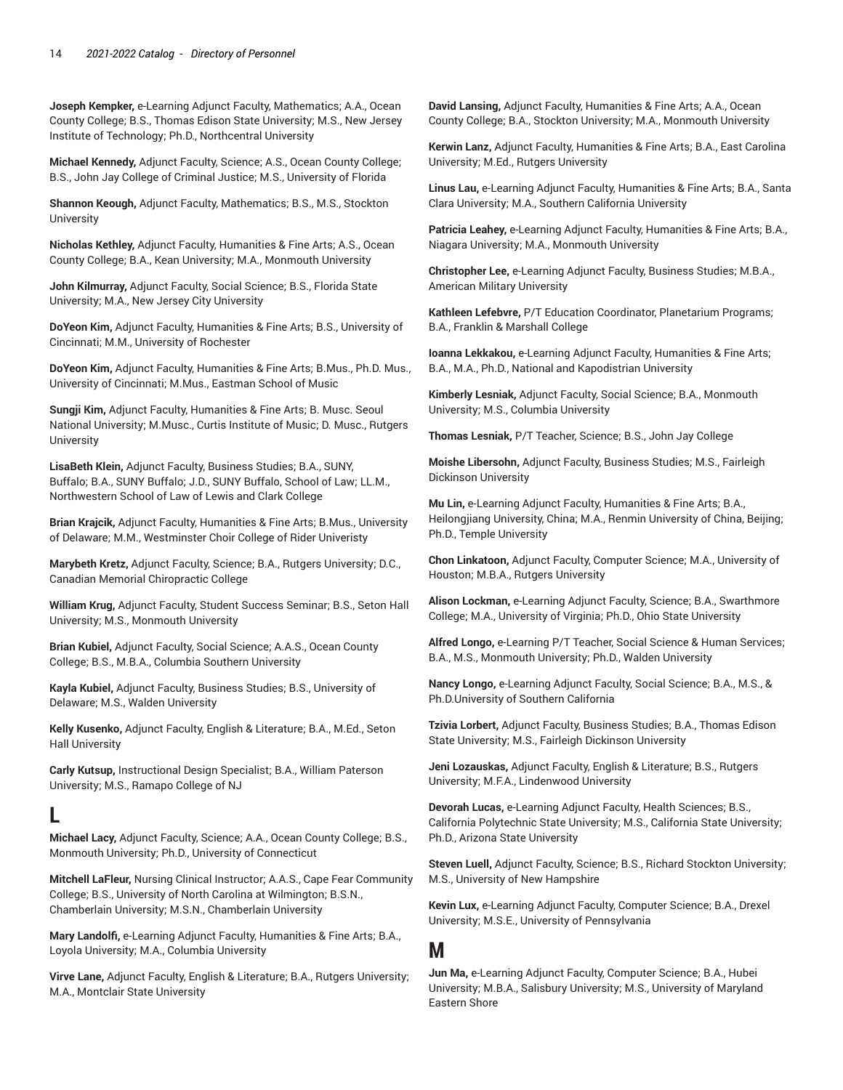**Joseph Kempker,** e-Learning Adjunct Faculty, Mathematics; A.A., Ocean County College; B.S., Thomas Edison State University; M.S., New Jersey Institute of Technology; Ph.D., Northcentral University

**Michael Kennedy,** Adjunct Faculty, Science; A.S., Ocean County College; B.S., John Jay College of Criminal Justice; M.S., University of Florida

**Shannon Keough,** Adjunct Faculty, Mathematics; B.S., M.S., Stockton **University** 

**Nicholas Kethley,** Adjunct Faculty, Humanities & Fine Arts; A.S., Ocean County College; B.A., Kean University; M.A., Monmouth University

**John Kilmurray,** Adjunct Faculty, Social Science; B.S., Florida State University; M.A., New Jersey City University

**DoYeon Kim,** Adjunct Faculty, Humanities & Fine Arts; B.S., University of Cincinnati; M.M., University of Rochester

**DoYeon Kim,** Adjunct Faculty, Humanities & Fine Arts; B.Mus., Ph.D. Mus., University of Cincinnati; M.Mus., Eastman School of Music

**Sungji Kim,** Adjunct Faculty, Humanities & Fine Arts; B. Musc. Seoul National University; M.Musc., Curtis Institute of Music; D. Musc., Rutgers University

**LisaBeth Klein,** Adjunct Faculty, Business Studies; B.A., SUNY, Buffalo; B.A., SUNY Buffalo; J.D., SUNY Buffalo, School of Law; LL.M., Northwestern School of Law of Lewis and Clark College

**Brian Krajcik,** Adjunct Faculty, Humanities & Fine Arts; B.Mus., University of Delaware; M.M., Westminster Choir College of Rider Univeristy

**Marybeth Kretz,** Adjunct Faculty, Science; B.A., Rutgers University; D.C., Canadian Memorial Chiropractic College

**William Krug,** Adjunct Faculty, Student Success Seminar; B.S., Seton Hall University; M.S., Monmouth University

**Brian Kubiel,** Adjunct Faculty, Social Science; A.A.S., Ocean County College; B.S., M.B.A., Columbia Southern University

**Kayla Kubiel,** Adjunct Faculty, Business Studies; B.S., University of Delaware; M.S., Walden University

**Kelly Kusenko,** Adjunct Faculty, English & Literature; B.A., M.Ed., Seton Hall University

**Carly Kutsup,** Instructional Design Specialist; B.A., William Paterson University; M.S., Ramapo College of NJ

## **L**

**Michael Lacy,** Adjunct Faculty, Science; A.A., Ocean County College; B.S., Monmouth University; Ph.D., University of Connecticut

**Mitchell LaFleur,** Nursing Clinical Instructor; A.A.S., Cape Fear Community College; B.S., University of North Carolina at Wilmington; B.S.N., Chamberlain University; M.S.N., Chamberlain University

**Mary Landolfi,** e-Learning Adjunct Faculty, Humanities & Fine Arts; B.A., Loyola University; M.A., Columbia University

**Virve Lane,** Adjunct Faculty, English & Literature; B.A., Rutgers University; M.A., Montclair State University

**David Lansing,** Adjunct Faculty, Humanities & Fine Arts; A.A., Ocean County College; B.A., Stockton University; M.A., Monmouth University

**Kerwin Lanz,** Adjunct Faculty, Humanities & Fine Arts; B.A., East Carolina University; M.Ed., Rutgers University

**Linus Lau,** e-Learning Adjunct Faculty, Humanities & Fine Arts; B.A., Santa Clara University; M.A., Southern California University

**Patricia Leahey,** e-Learning Adjunct Faculty, Humanities & Fine Arts; B.A., Niagara University; M.A., Monmouth University

**Christopher Lee,** e-Learning Adjunct Faculty, Business Studies; M.B.A., American Military University

**Kathleen Lefebvre,** P/T Education Coordinator, Planetarium Programs; B.A., Franklin & Marshall College

**Ioanna Lekkakou,** e-Learning Adjunct Faculty, Humanities & Fine Arts; B.A., M.A., Ph.D., National and Kapodistrian University

**Kimberly Lesniak,** Adjunct Faculty, Social Science; B.A., Monmouth University; M.S., Columbia University

**Thomas Lesniak,** P/T Teacher, Science; B.S., John Jay College

**Moishe Libersohn,** Adjunct Faculty, Business Studies; M.S., Fairleigh Dickinson University

**Mu Lin,** e-Learning Adjunct Faculty, Humanities & Fine Arts; B.A., Heilongjiang University, China; M.A., Renmin University of China, Beijing; Ph.D., Temple University

**Chon Linkatoon,** Adjunct Faculty, Computer Science; M.A., University of Houston; M.B.A., Rutgers University

**Alison Lockman,** e-Learning Adjunct Faculty, Science; B.A., Swarthmore College; M.A., University of Virginia; Ph.D., Ohio State University

**Alfred Longo,** e-Learning P/T Teacher, Social Science & Human Services; B.A., M.S., Monmouth University; Ph.D., Walden University

**Nancy Longo,** e-Learning Adjunct Faculty, Social Science; B.A., M.S., & Ph.D.University of Southern California

**Tzivia Lorbert,** Adjunct Faculty, Business Studies; B.A., Thomas Edison State University; M.S., Fairleigh Dickinson University

**Jeni Lozauskas,** Adjunct Faculty, English & Literature; B.S., Rutgers University; M.F.A., Lindenwood University

**Devorah Lucas,** e-Learning Adjunct Faculty, Health Sciences; B.S., California Polytechnic State University; M.S., California State University; Ph.D., Arizona State University

**Steven Luell,** Adjunct Faculty, Science; B.S., Richard Stockton University; M.S., University of New Hampshire

**Kevin Lux,** e-Learning Adjunct Faculty, Computer Science; B.A., Drexel University; M.S.E., University of Pennsylvania

## **M**

**Jun Ma,** e-Learning Adjunct Faculty, Computer Science; B.A., Hubei University; M.B.A., Salisbury University; M.S., University of Maryland Eastern Shore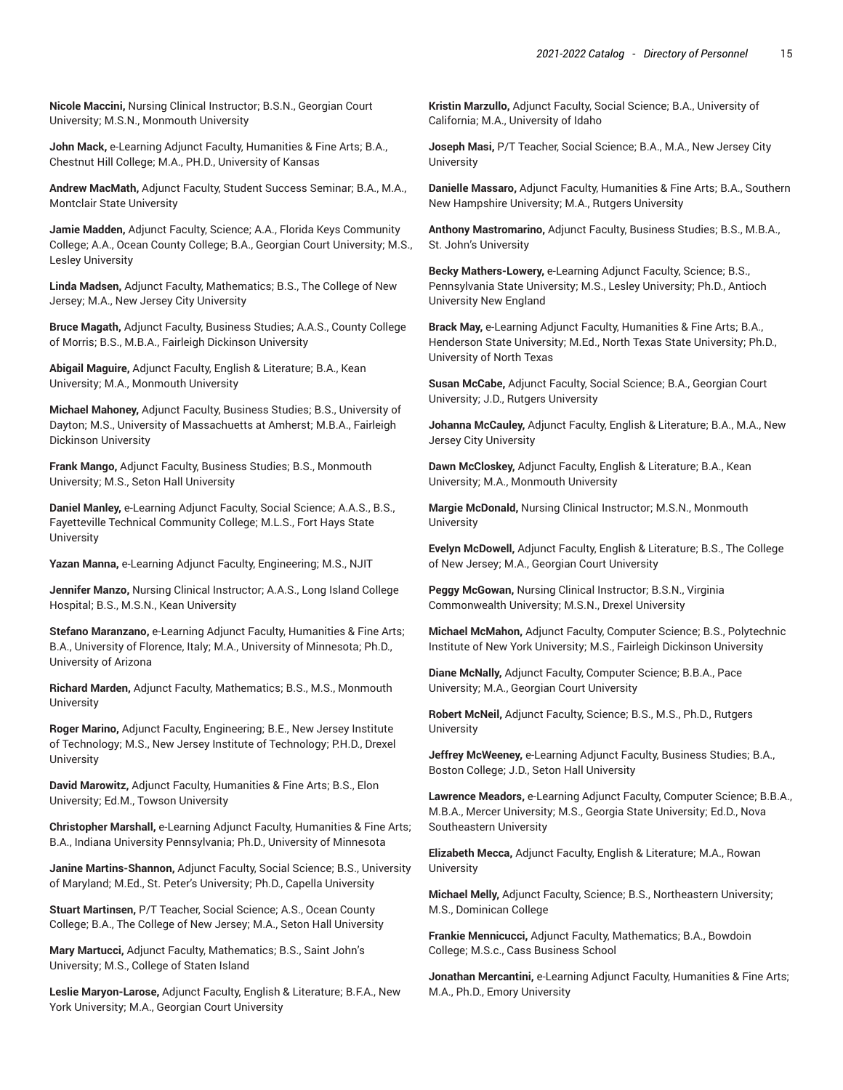**Nicole Maccini,** Nursing Clinical Instructor; B.S.N., Georgian Court University; M.S.N., Monmouth University

**John Mack,** e-Learning Adjunct Faculty, Humanities & Fine Arts; B.A., Chestnut Hill College; M.A., PH.D., University of Kansas

**Andrew MacMath,** Adjunct Faculty, Student Success Seminar; B.A., M.A., Montclair State University

**Jamie Madden,** Adjunct Faculty, Science; A.A., Florida Keys Community College; A.A., Ocean County College; B.A., Georgian Court University; M.S., Lesley University

**Linda Madsen,** Adjunct Faculty, Mathematics; B.S., The College of New Jersey; M.A., New Jersey City University

**Bruce Magath,** Adjunct Faculty, Business Studies; A.A.S., County College of Morris; B.S., M.B.A., Fairleigh Dickinson University

**Abigail Maguire,** Adjunct Faculty, English & Literature; B.A., Kean University; M.A., Monmouth University

**Michael Mahoney,** Adjunct Faculty, Business Studies; B.S., University of Dayton; M.S., University of Massachuetts at Amherst; M.B.A., Fairleigh Dickinson University

**Frank Mango,** Adjunct Faculty, Business Studies; B.S., Monmouth University; M.S., Seton Hall University

**Daniel Manley,** e-Learning Adjunct Faculty, Social Science; A.A.S., B.S., Fayetteville Technical Community College; M.L.S., Fort Hays State University

**Yazan Manna,** e-Learning Adjunct Faculty, Engineering; M.S., NJIT

**Jennifer Manzo,** Nursing Clinical Instructor; A.A.S., Long Island College Hospital; B.S., M.S.N., Kean University

**Stefano Maranzano,** e-Learning Adjunct Faculty, Humanities & Fine Arts; B.A., University of Florence, Italy; M.A., University of Minnesota; Ph.D., University of Arizona

**Richard Marden,** Adjunct Faculty, Mathematics; B.S., M.S., Monmouth **University** 

**Roger Marino,** Adjunct Faculty, Engineering; B.E., New Jersey Institute of Technology; M.S., New Jersey Institute of Technology; P.H.D., Drexel University

**David Marowitz,** Adjunct Faculty, Humanities & Fine Arts; B.S., Elon University; Ed.M., Towson University

**Christopher Marshall,** e-Learning Adjunct Faculty, Humanities & Fine Arts; B.A., Indiana University Pennsylvania; Ph.D., University of Minnesota

**Janine Martins-Shannon,** Adjunct Faculty, Social Science; B.S., University of Maryland; M.Ed., St. Peter's University; Ph.D., Capella University

**Stuart Martinsen,** P/T Teacher, Social Science; A.S., Ocean County College; B.A., The College of New Jersey; M.A., Seton Hall University

**Mary Martucci,** Adjunct Faculty, Mathematics; B.S., Saint John's University; M.S., College of Staten Island

**Leslie Maryon-Larose,** Adjunct Faculty, English & Literature; B.F.A., New York University; M.A., Georgian Court University

**Kristin Marzullo,** Adjunct Faculty, Social Science; B.A., University of California; M.A., University of Idaho

**Joseph Masi,** P/T Teacher, Social Science; B.A., M.A., New Jersey City **University** 

**Danielle Massaro,** Adjunct Faculty, Humanities & Fine Arts; B.A., Southern New Hampshire University; M.A., Rutgers University

**Anthony Mastromarino,** Adjunct Faculty, Business Studies; B.S., M.B.A., St. John's University

**Becky Mathers-Lowery,** e-Learning Adjunct Faculty, Science; B.S., Pennsylvania State University; M.S., Lesley University; Ph.D., Antioch University New England

**Brack May,** e-Learning Adjunct Faculty, Humanities & Fine Arts; B.A., Henderson State University; M.Ed., North Texas State University; Ph.D., University of North Texas

**Susan McCabe,** Adjunct Faculty, Social Science; B.A., Georgian Court University; J.D., Rutgers University

**Johanna McCauley,** Adjunct Faculty, English & Literature; B.A., M.A., New Jersey City University

**Dawn McCloskey,** Adjunct Faculty, English & Literature; B.A., Kean University; M.A., Monmouth University

**Margie McDonald,** Nursing Clinical Instructor; M.S.N., Monmouth University

**Evelyn McDowell,** Adjunct Faculty, English & Literature; B.S., The College of New Jersey; M.A., Georgian Court University

**Peggy McGowan,** Nursing Clinical Instructor; B.S.N., Virginia Commonwealth University; M.S.N., Drexel University

**Michael McMahon,** Adjunct Faculty, Computer Science; B.S., Polytechnic Institute of New York University; M.S., Fairleigh Dickinson University

**Diane McNally,** Adjunct Faculty, Computer Science; B.B.A., Pace University; M.A., Georgian Court University

**Robert McNeil,** Adjunct Faculty, Science; B.S., M.S., Ph.D., Rutgers University

**Jeffrey McWeeney,** e-Learning Adjunct Faculty, Business Studies; B.A., Boston College; J.D., Seton Hall University

**Lawrence Meadors,** e-Learning Adjunct Faculty, Computer Science; B.B.A., M.B.A., Mercer University; M.S., Georgia State University; Ed.D., Nova Southeastern University

**Elizabeth Mecca,** Adjunct Faculty, English & Literature; M.A., Rowan University

**Michael Melly,** Adjunct Faculty, Science; B.S., Northeastern University; M.S., Dominican College

**Frankie Mennicucci,** Adjunct Faculty, Mathematics; B.A., Bowdoin College; M.S.c., Cass Business School

**Jonathan Mercantini,** e-Learning Adjunct Faculty, Humanities & Fine Arts; M.A., Ph.D., Emory University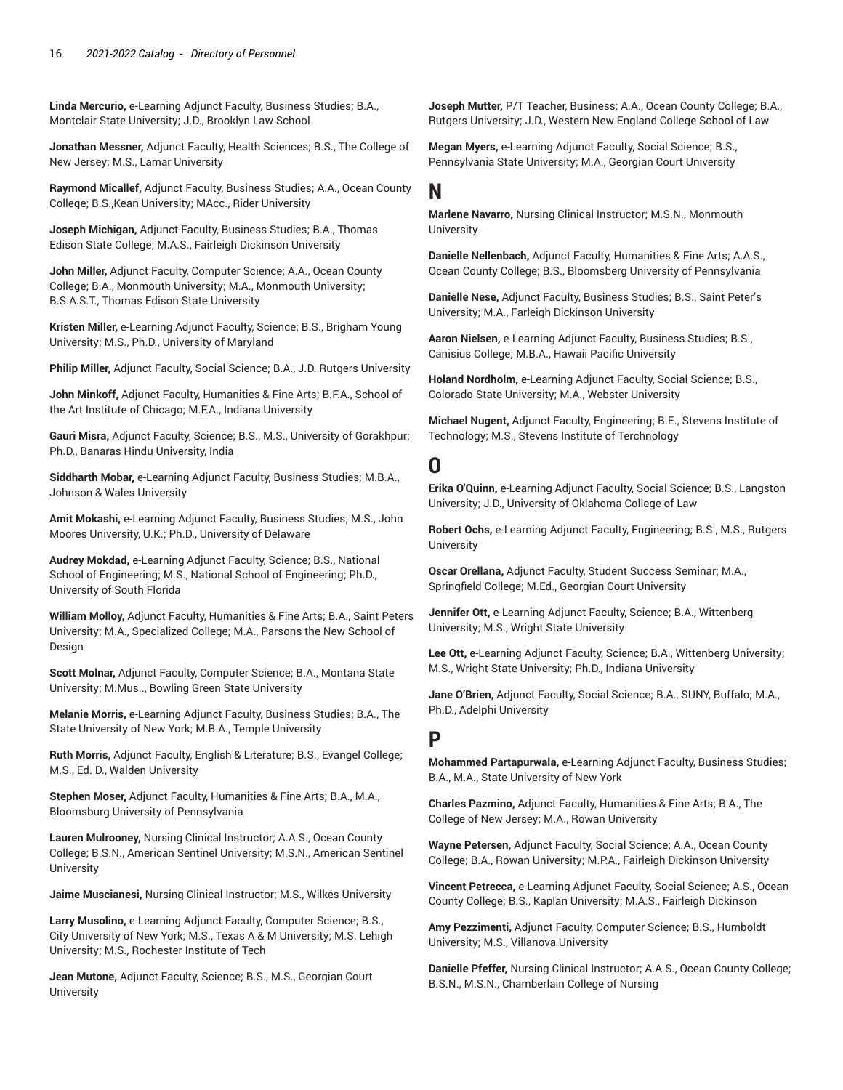**Linda Mercurio,** e-Learning Adjunct Faculty, Business Studies; B.A., Montclair State University; J.D., Brooklyn Law School

**Jonathan Messner,** Adjunct Faculty, Health Sciences; B.S., The College of New Jersey; M.S., Lamar University

**Raymond Micallef,** Adjunct Faculty, Business Studies; A.A., Ocean County College; B.S.,Kean University; MAcc., Rider University

**Joseph Michigan,** Adjunct Faculty, Business Studies; B.A., Thomas Edison State College; M.A.S., Fairleigh Dickinson University

**John Miller,** Adjunct Faculty, Computer Science; A.A., Ocean County College; B.A., Monmouth University; M.A., Monmouth University; B.S.A.S.T., Thomas Edison State University

**Kristen Miller,** e-Learning Adjunct Faculty, Science; B.S., Brigham Young University; M.S., Ph.D., University of Maryland

**Philip Miller,** Adjunct Faculty, Social Science; B.A., J.D. Rutgers University

**John Minkoff,** Adjunct Faculty, Humanities & Fine Arts; B.F.A., School of the Art Institute of Chicago; M.F.A., Indiana University

**Gauri Misra,** Adjunct Faculty, Science; B.S., M.S., University of Gorakhpur; Ph.D., Banaras Hindu University, India

**Siddharth Mobar,** e-Learning Adjunct Faculty, Business Studies; M.B.A., Johnson & Wales University

**Amit Mokashi,** e-Learning Adjunct Faculty, Business Studies; M.S., John Moores University, U.K.; Ph.D., University of Delaware

**Audrey Mokdad,** e-Learning Adjunct Faculty, Science; B.S., National School of Engineering; M.S., National School of Engineering; Ph.D., University of South Florida

**William Molloy,** Adjunct Faculty, Humanities & Fine Arts; B.A., Saint Peters University; M.A., Specialized College; M.A., Parsons the New School of Design

**Scott Molnar,** Adjunct Faculty, Computer Science; B.A., Montana State University; M.Mus.., Bowling Green State University

**Melanie Morris,** e-Learning Adjunct Faculty, Business Studies; B.A., The State University of New York; M.B.A., Temple University

**Ruth Morris,** Adjunct Faculty, English & Literature; B.S., Evangel College; M.S., Ed. D., Walden University

**Stephen Moser,** Adjunct Faculty, Humanities & Fine Arts; B.A., M.A., Bloomsburg University of Pennsylvania

**Lauren Mulrooney,** Nursing Clinical Instructor; A.A.S., Ocean County College; B.S.N., American Sentinel University; M.S.N., American Sentinel University

**Jaime Muscianesi,** Nursing Clinical Instructor; M.S., Wilkes University

**Larry Musolino,** e-Learning Adjunct Faculty, Computer Science; B.S., City University of New York; M.S., Texas A & M University; M.S. Lehigh University; M.S., Rochester Institute of Tech

**Jean Mutone,** Adjunct Faculty, Science; B.S., M.S., Georgian Court **University** 

**Joseph Mutter,** P/T Teacher, Business; A.A., Ocean County College; B.A., Rutgers University; J.D., Western New England College School of Law

**Megan Myers,** e-Learning Adjunct Faculty, Social Science; B.S., Pennsylvania State University; M.A., Georgian Court University

### **N**

**Marlene Navarro,** Nursing Clinical Instructor; M.S.N., Monmouth University

**Danielle Nellenbach,** Adjunct Faculty, Humanities & Fine Arts; A.A.S., Ocean County College; B.S., Bloomsberg University of Pennsylvania

**Danielle Nese,** Adjunct Faculty, Business Studies; B.S., Saint Peter's University; M.A., Farleigh Dickinson University

**Aaron Nielsen,** e-Learning Adjunct Faculty, Business Studies; B.S., Canisius College; M.B.A., Hawaii Pacific University

**Holand Nordholm,** e-Learning Adjunct Faculty, Social Science; B.S., Colorado State University; M.A., Webster University

**Michael Nugent,** Adjunct Faculty, Engineering; B.E., Stevens Institute of Technology; M.S., Stevens Institute of Terchnology

## **O**

**Erika O'Quinn,** e-Learning Adjunct Faculty, Social Science; B.S., Langston University; J.D., University of Oklahoma College of Law

**Robert Ochs,** e-Learning Adjunct Faculty, Engineering; B.S., M.S., Rutgers **University** 

**Oscar Orellana,** Adjunct Faculty, Student Success Seminar; M.A., Springfield College; M.Ed., Georgian Court University

**Jennifer Ott,** e-Learning Adjunct Faculty, Science; B.A., Wittenberg University; M.S., Wright State University

**Lee Ott,** e-Learning Adjunct Faculty, Science; B.A., Wittenberg University; M.S., Wright State University; Ph.D., Indiana University

**Jane O'Brien,** Adjunct Faculty, Social Science; B.A., SUNY, Buffalo; M.A., Ph.D., Adelphi University

## **P**

**Mohammed Partapurwala,** e-Learning Adjunct Faculty, Business Studies; B.A., M.A., State University of New York

**Charles Pazmino,** Adjunct Faculty, Humanities & Fine Arts; B.A., The College of New Jersey; M.A., Rowan University

**Wayne Petersen,** Adjunct Faculty, Social Science; A.A., Ocean County College; B.A., Rowan University; M.P.A., Fairleigh Dickinson University

**Vincent Petrecca,** e-Learning Adjunct Faculty, Social Science; A.S., Ocean County College; B.S., Kaplan University; M.A.S., Fairleigh Dickinson

**Amy Pezzimenti,** Adjunct Faculty, Computer Science; B.S., Humboldt University; M.S., Villanova University

**Danielle Pfeffer,** Nursing Clinical Instructor; A.A.S., Ocean County College; B.S.N., M.S.N., Chamberlain College of Nursing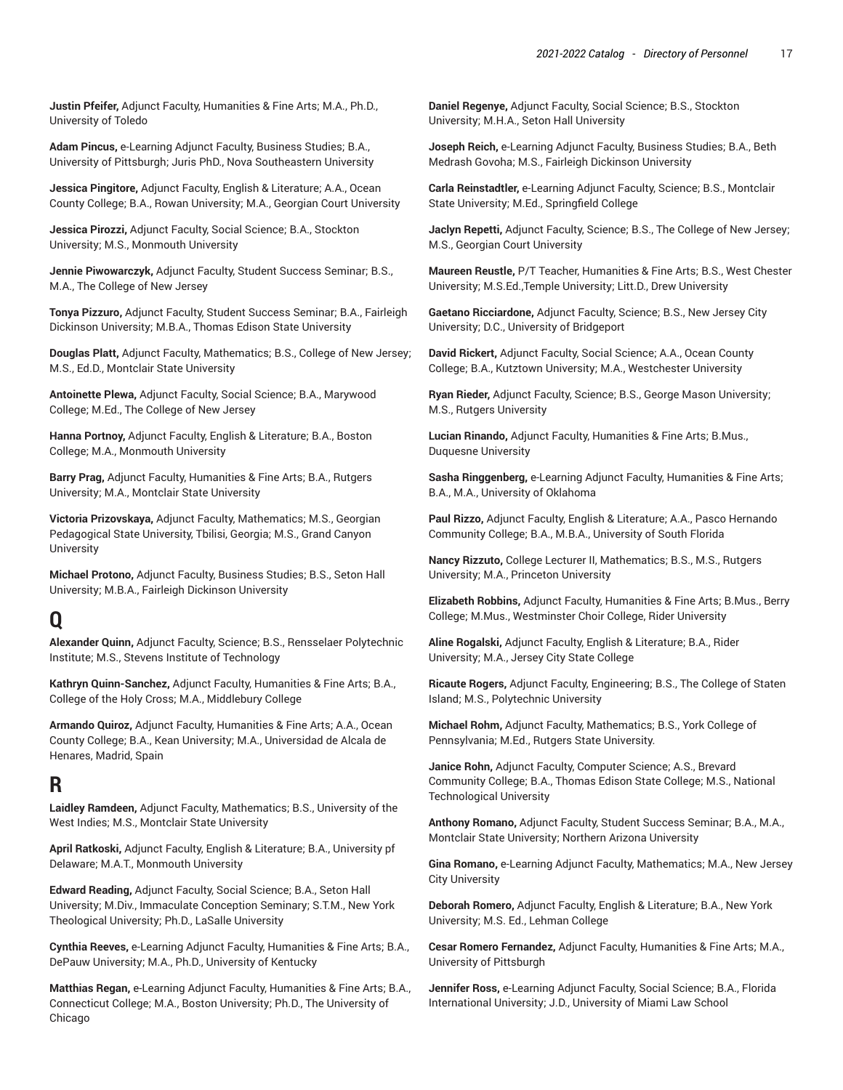**Justin Pfeifer,** Adjunct Faculty, Humanities & Fine Arts; M.A., Ph.D., University of Toledo

**Adam Pincus,** e-Learning Adjunct Faculty, Business Studies; B.A., University of Pittsburgh; Juris PhD., Nova Southeastern University

**Jessica Pingitore,** Adjunct Faculty, English & Literature; A.A., Ocean County College; B.A., Rowan University; M.A., Georgian Court University

**Jessica Pirozzi,** Adjunct Faculty, Social Science; B.A., Stockton University; M.S., Monmouth University

**Jennie Piwowarczyk,** Adjunct Faculty, Student Success Seminar; B.S., M.A., The College of New Jersey

**Tonya Pizzuro,** Adjunct Faculty, Student Success Seminar; B.A., Fairleigh Dickinson University; M.B.A., Thomas Edison State University

**Douglas Platt,** Adjunct Faculty, Mathematics; B.S., College of New Jersey; M.S., Ed.D., Montclair State University

**Antoinette Plewa,** Adjunct Faculty, Social Science; B.A., Marywood College; M.Ed., The College of New Jersey

**Hanna Portnoy,** Adjunct Faculty, English & Literature; B.A., Boston College; M.A., Monmouth University

**Barry Prag,** Adjunct Faculty, Humanities & Fine Arts; B.A., Rutgers University; M.A., Montclair State University

**Victoria Prizovskaya,** Adjunct Faculty, Mathematics; M.S., Georgian Pedagogical State University, Tbilisi, Georgia; M.S., Grand Canyon University

**Michael Protono,** Adjunct Faculty, Business Studies; B.S., Seton Hall University; M.B.A., Fairleigh Dickinson University

## **Q**

**Alexander Quinn,** Adjunct Faculty, Science; B.S., Rensselaer Polytechnic Institute; M.S., Stevens Institute of Technology

**Kathryn Quinn-Sanchez,** Adjunct Faculty, Humanities & Fine Arts; B.A., College of the Holy Cross; M.A., Middlebury College

**Armando Quiroz,** Adjunct Faculty, Humanities & Fine Arts; A.A., Ocean County College; B.A., Kean University; M.A., Universidad de Alcala de Henares, Madrid, Spain

## **R**

**Laidley Ramdeen,** Adjunct Faculty, Mathematics; B.S., University of the West Indies; M.S., Montclair State University

**April Ratkoski,** Adjunct Faculty, English & Literature; B.A., University pf Delaware; M.A.T., Monmouth University

**Edward Reading,** Adjunct Faculty, Social Science; B.A., Seton Hall University; M.Div., Immaculate Conception Seminary; S.T.M., New York Theological University; Ph.D., LaSalle University

**Cynthia Reeves,** e-Learning Adjunct Faculty, Humanities & Fine Arts; B.A., DePauw University; M.A., Ph.D., University of Kentucky

**Matthias Regan,** e-Learning Adjunct Faculty, Humanities & Fine Arts; B.A., Connecticut College; M.A., Boston University; Ph.D., The University of Chicago

**Daniel Regenye,** Adjunct Faculty, Social Science; B.S., Stockton University; M.H.A., Seton Hall University

**Joseph Reich,** e-Learning Adjunct Faculty, Business Studies; B.A., Beth Medrash Govoha; M.S., Fairleigh Dickinson University

**Carla Reinstadtler,** e-Learning Adjunct Faculty, Science; B.S., Montclair State University; M.Ed., Springfield College

**Jaclyn Repetti,** Adjunct Faculty, Science; B.S., The College of New Jersey; M.S., Georgian Court University

**Maureen Reustle,** P/T Teacher, Humanities & Fine Arts; B.S., West Chester University; M.S.Ed.,Temple University; Litt.D., Drew University

**Gaetano Ricciardone,** Adjunct Faculty, Science; B.S., New Jersey City University; D.C., University of Bridgeport

**David Rickert,** Adjunct Faculty, Social Science; A.A., Ocean County College; B.A., Kutztown University; M.A., Westchester University

**Ryan Rieder,** Adjunct Faculty, Science; B.S., George Mason University; M.S., Rutgers University

**Lucian Rinando,** Adjunct Faculty, Humanities & Fine Arts; B.Mus., Duquesne University

**Sasha Ringgenberg,** e-Learning Adjunct Faculty, Humanities & Fine Arts; B.A., M.A., University of Oklahoma

**Paul Rizzo,** Adjunct Faculty, English & Literature; A.A., Pasco Hernando Community College; B.A., M.B.A., University of South Florida

**Nancy Rizzuto,** College Lecturer II, Mathematics; B.S., M.S., Rutgers University; M.A., Princeton University

**Elizabeth Robbins,** Adjunct Faculty, Humanities & Fine Arts; B.Mus., Berry College; M.Mus., Westminster Choir College, Rider University

**Aline Rogalski,** Adjunct Faculty, English & Literature; B.A., Rider University; M.A., Jersey City State College

**Ricaute Rogers,** Adjunct Faculty, Engineering; B.S., The College of Staten Island; M.S., Polytechnic University

**Michael Rohm,** Adjunct Faculty, Mathematics; B.S., York College of Pennsylvania; M.Ed., Rutgers State University.

**Janice Rohn,** Adjunct Faculty, Computer Science; A.S., Brevard Community College; B.A., Thomas Edison State College; M.S., National Technological University

**Anthony Romano,** Adjunct Faculty, Student Success Seminar; B.A., M.A., Montclair State University; Northern Arizona University

**Gina Romano,** e-Learning Adjunct Faculty, Mathematics; M.A., New Jersey City University

**Deborah Romero,** Adjunct Faculty, English & Literature; B.A., New York University; M.S. Ed., Lehman College

**Cesar Romero Fernandez,** Adjunct Faculty, Humanities & Fine Arts; M.A., University of Pittsburgh

**Jennifer Ross,** e-Learning Adjunct Faculty, Social Science; B.A., Florida International University; J.D., University of Miami Law School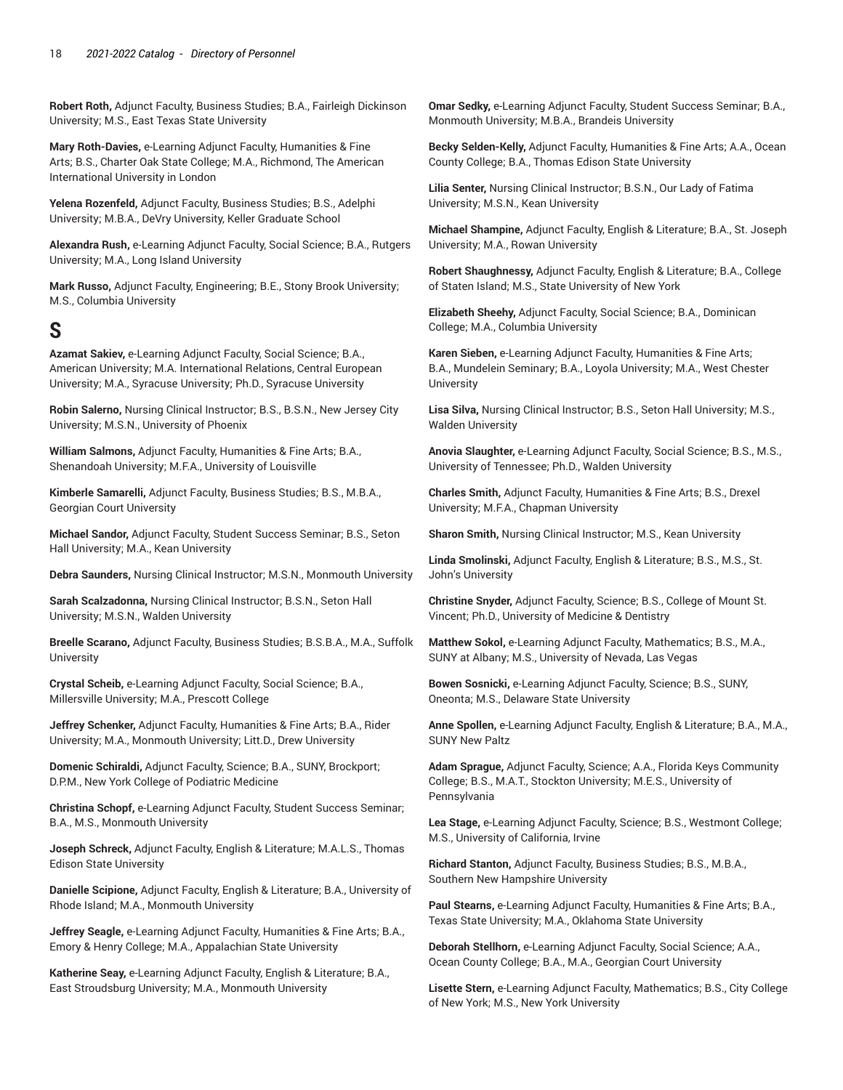**Robert Roth,** Adjunct Faculty, Business Studies; B.A., Fairleigh Dickinson University; M.S., East Texas State University

**Mary Roth-Davies,** e-Learning Adjunct Faculty, Humanities & Fine Arts; B.S., Charter Oak State College; M.A., Richmond, The American International University in London

**Yelena Rozenfeld,** Adjunct Faculty, Business Studies; B.S., Adelphi University; M.B.A., DeVry University, Keller Graduate School

**Alexandra Rush,** e-Learning Adjunct Faculty, Social Science; B.A., Rutgers University; M.A., Long Island University

**Mark Russo,** Adjunct Faculty, Engineering; B.E., Stony Brook University; M.S., Columbia University

## **S**

**Azamat Sakiev,** e-Learning Adjunct Faculty, Social Science; B.A., American University; M.A. International Relations, Central European University; M.A., Syracuse University; Ph.D., Syracuse University

**Robin Salerno,** Nursing Clinical Instructor; B.S., B.S.N., New Jersey City University; M.S.N., University of Phoenix

**William Salmons,** Adjunct Faculty, Humanities & Fine Arts; B.A., Shenandoah University; M.F.A., University of Louisville

**Kimberle Samarelli,** Adjunct Faculty, Business Studies; B.S., M.B.A., Georgian Court University

**Michael Sandor,** Adjunct Faculty, Student Success Seminar; B.S., Seton Hall University; M.A., Kean University

**Debra Saunders,** Nursing Clinical Instructor; M.S.N., Monmouth University

**Sarah Scalzadonna,** Nursing Clinical Instructor; B.S.N., Seton Hall University; M.S.N., Walden University

**Breelle Scarano,** Adjunct Faculty, Business Studies; B.S.B.A., M.A., Suffolk University

**Crystal Scheib,** e-Learning Adjunct Faculty, Social Science; B.A., Millersville University; M.A., Prescott College

**Jeffrey Schenker,** Adjunct Faculty, Humanities & Fine Arts; B.A., Rider University; M.A., Monmouth University; Litt.D., Drew University

**Domenic Schiraldi,** Adjunct Faculty, Science; B.A., SUNY, Brockport; D.P.M., New York College of Podiatric Medicine

**Christina Schopf,** e-Learning Adjunct Faculty, Student Success Seminar; B.A., M.S., Monmouth University

**Joseph Schreck,** Adjunct Faculty, English & Literature; M.A.L.S., Thomas Edison State University

**Danielle Scipione,** Adjunct Faculty, English & Literature; B.A., University of Rhode Island; M.A., Monmouth University

**Jeffrey Seagle,** e-Learning Adjunct Faculty, Humanities & Fine Arts; B.A., Emory & Henry College; M.A., Appalachian State University

**Katherine Seay,** e-Learning Adjunct Faculty, English & Literature; B.A., East Stroudsburg University; M.A., Monmouth University

**Omar Sedky,** e-Learning Adjunct Faculty, Student Success Seminar; B.A., Monmouth University; M.B.A., Brandeis University

**Becky Selden-Kelly,** Adjunct Faculty, Humanities & Fine Arts; A.A., Ocean County College; B.A., Thomas Edison State University

**Lilia Senter,** Nursing Clinical Instructor; B.S.N., Our Lady of Fatima University; M.S.N., Kean University

**Michael Shampine,** Adjunct Faculty, English & Literature; B.A., St. Joseph University; M.A., Rowan University

**Robert Shaughnessy,** Adjunct Faculty, English & Literature; B.A., College of Staten Island; M.S., State University of New York

**Elizabeth Sheehy,** Adjunct Faculty, Social Science; B.A., Dominican College; M.A., Columbia University

**Karen Sieben,** e-Learning Adjunct Faculty, Humanities & Fine Arts; B.A., Mundelein Seminary; B.A., Loyola University; M.A., West Chester **University** 

**Lisa Silva,** Nursing Clinical Instructor; B.S., Seton Hall University; M.S., Walden University

**Anovia Slaughter,** e-Learning Adjunct Faculty, Social Science; B.S., M.S., University of Tennessee; Ph.D., Walden University

**Charles Smith,** Adjunct Faculty, Humanities & Fine Arts; B.S., Drexel University; M.F.A., Chapman University

**Sharon Smith,** Nursing Clinical Instructor; M.S., Kean University

**Linda Smolinski,** Adjunct Faculty, English & Literature; B.S., M.S., St. John's University

**Christine Snyder,** Adjunct Faculty, Science; B.S., College of Mount St. Vincent; Ph.D., University of Medicine & Dentistry

**Matthew Sokol,** e-Learning Adjunct Faculty, Mathematics; B.S., M.A., SUNY at Albany; M.S., University of Nevada, Las Vegas

**Bowen Sosnicki,** e-Learning Adjunct Faculty, Science; B.S., SUNY, Oneonta; M.S., Delaware State University

**Anne Spollen,** e-Learning Adjunct Faculty, English & Literature; B.A., M.A., SUNY New Paltz

**Adam Sprague,** Adjunct Faculty, Science; A.A., Florida Keys Community College; B.S., M.A.T., Stockton University; M.E.S., University of Pennsylvania

**Lea Stage,** e-Learning Adjunct Faculty, Science; B.S., Westmont College; M.S., University of California, Irvine

**Richard Stanton,** Adjunct Faculty, Business Studies; B.S., M.B.A., Southern New Hampshire University

**Paul Stearns,** e-Learning Adjunct Faculty, Humanities & Fine Arts; B.A., Texas State University; M.A., Oklahoma State University

**Deborah Stellhorn,** e-Learning Adjunct Faculty, Social Science; A.A., Ocean County College; B.A., M.A., Georgian Court University

**Lisette Stern,** e-Learning Adjunct Faculty, Mathematics; B.S., City College of New York; M.S., New York University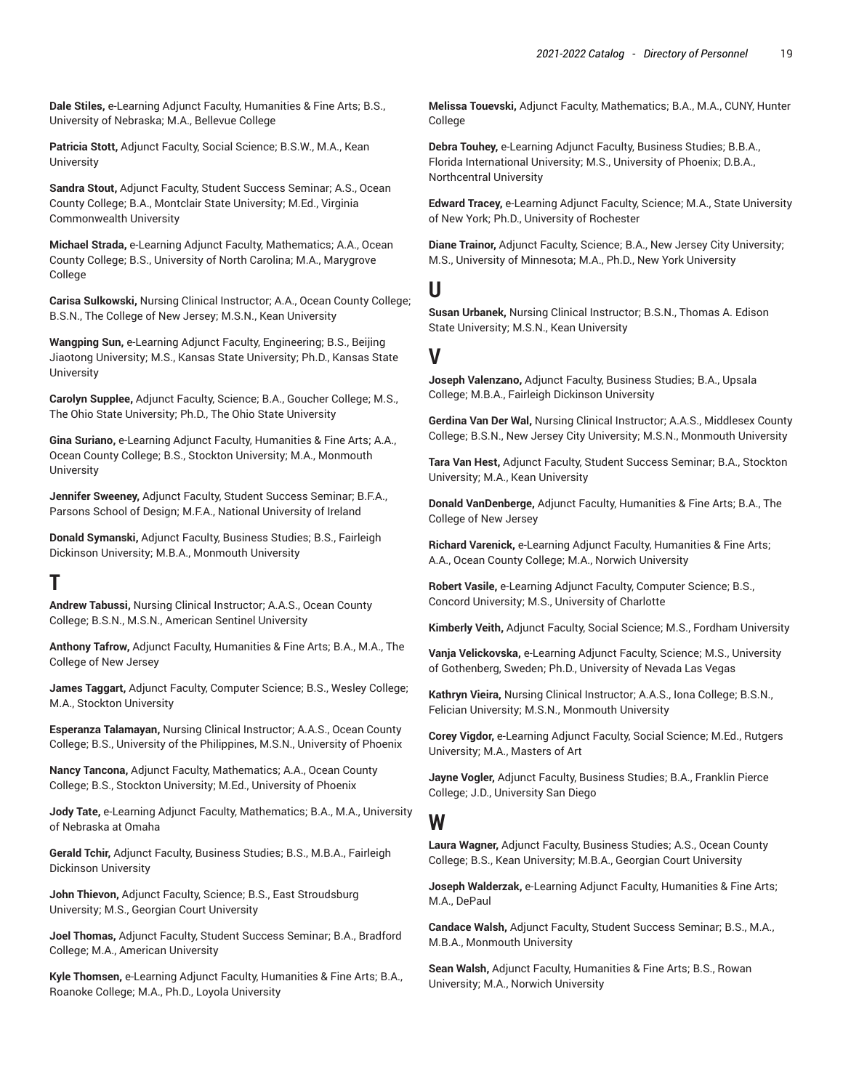**Dale Stiles,** e-Learning Adjunct Faculty, Humanities & Fine Arts; B.S., University of Nebraska; M.A., Bellevue College

**Patricia Stott,** Adjunct Faculty, Social Science; B.S.W., M.A., Kean **University** 

**Sandra Stout,** Adjunct Faculty, Student Success Seminar; A.S., Ocean County College; B.A., Montclair State University; M.Ed., Virginia Commonwealth University

**Michael Strada,** e-Learning Adjunct Faculty, Mathematics; A.A., Ocean County College; B.S., University of North Carolina; M.A., Marygrove College

**Carisa Sulkowski,** Nursing Clinical Instructor; A.A., Ocean County College; B.S.N., The College of New Jersey; M.S.N., Kean University

**Wangping Sun,** e-Learning Adjunct Faculty, Engineering; B.S., Beijing Jiaotong University; M.S., Kansas State University; Ph.D., Kansas State **University** 

**Carolyn Supplee,** Adjunct Faculty, Science; B.A., Goucher College; M.S., The Ohio State University; Ph.D., The Ohio State University

**Gina Suriano,** e-Learning Adjunct Faculty, Humanities & Fine Arts; A.A., Ocean County College; B.S., Stockton University; M.A., Monmouth University

**Jennifer Sweeney,** Adjunct Faculty, Student Success Seminar; B.F.A., Parsons School of Design; M.F.A., National University of Ireland

**Donald Symanski,** Adjunct Faculty, Business Studies; B.S., Fairleigh Dickinson University; M.B.A., Monmouth University

## **T**

**Andrew Tabussi,** Nursing Clinical Instructor; A.A.S., Ocean County College; B.S.N., M.S.N., American Sentinel University

**Anthony Tafrow,** Adjunct Faculty, Humanities & Fine Arts; B.A., M.A., The College of New Jersey

**James Taggart,** Adjunct Faculty, Computer Science; B.S., Wesley College; M.A., Stockton University

**Esperanza Talamayan,** Nursing Clinical Instructor; A.A.S., Ocean County College; B.S., University of the Philippines, M.S.N., University of Phoenix

**Nancy Tancona,** Adjunct Faculty, Mathematics; A.A., Ocean County College; B.S., Stockton University; M.Ed., University of Phoenix

**Jody Tate,** e-Learning Adjunct Faculty, Mathematics; B.A., M.A., University of Nebraska at Omaha

**Gerald Tchir,** Adjunct Faculty, Business Studies; B.S., M.B.A., Fairleigh Dickinson University

**John Thievon,** Adjunct Faculty, Science; B.S., East Stroudsburg University; M.S., Georgian Court University

**Joel Thomas,** Adjunct Faculty, Student Success Seminar; B.A., Bradford College; M.A., American University

**Kyle Thomsen,** e-Learning Adjunct Faculty, Humanities & Fine Arts; B.A., Roanoke College; M.A., Ph.D., Loyola University

**Melissa Touevski,** Adjunct Faculty, Mathematics; B.A., M.A., CUNY, Hunter College

**Debra Touhey,** e-Learning Adjunct Faculty, Business Studies; B.B.A., Florida International University; M.S., University of Phoenix; D.B.A., Northcentral University

**Edward Tracey,** e-Learning Adjunct Faculty, Science; M.A., State University of New York; Ph.D., University of Rochester

**Diane Trainor,** Adjunct Faculty, Science; B.A., New Jersey City University; M.S., University of Minnesota; M.A., Ph.D., New York University

### **U**

**Susan Urbanek,** Nursing Clinical Instructor; B.S.N., Thomas A. Edison State University; M.S.N., Kean University

### **V**

**Joseph Valenzano,** Adjunct Faculty, Business Studies; B.A., Upsala College; M.B.A., Fairleigh Dickinson University

**Gerdina Van Der Wal,** Nursing Clinical Instructor; A.A.S., Middlesex County College; B.S.N., New Jersey City University; M.S.N., Monmouth University

**Tara Van Hest,** Adjunct Faculty, Student Success Seminar; B.A., Stockton University; M.A., Kean University

**Donald VanDenberge,** Adjunct Faculty, Humanities & Fine Arts; B.A., The College of New Jersey

**Richard Varenick,** e-Learning Adjunct Faculty, Humanities & Fine Arts; A.A., Ocean County College; M.A., Norwich University

**Robert Vasile,** e-Learning Adjunct Faculty, Computer Science; B.S., Concord University; M.S., University of Charlotte

**Kimberly Veith,** Adjunct Faculty, Social Science; M.S., Fordham University

**Vanja Velickovska,** e-Learning Adjunct Faculty, Science; M.S., University of Gothenberg, Sweden; Ph.D., University of Nevada Las Vegas

**Kathryn Vieira,** Nursing Clinical Instructor; A.A.S., Iona College; B.S.N., Felician University; M.S.N., Monmouth University

**Corey Vigdor,** e-Learning Adjunct Faculty, Social Science; M.Ed., Rutgers University; M.A., Masters of Art

**Jayne Vogler,** Adjunct Faculty, Business Studies; B.A., Franklin Pierce College; J.D., University San Diego

#### **W**

**Laura Wagner,** Adjunct Faculty, Business Studies; A.S., Ocean County College; B.S., Kean University; M.B.A., Georgian Court University

**Joseph Walderzak,** e-Learning Adjunct Faculty, Humanities & Fine Arts; M.A., DePaul

**Candace Walsh,** Adjunct Faculty, Student Success Seminar; B.S., M.A., M.B.A., Monmouth University

**Sean Walsh,** Adjunct Faculty, Humanities & Fine Arts; B.S., Rowan University; M.A., Norwich University